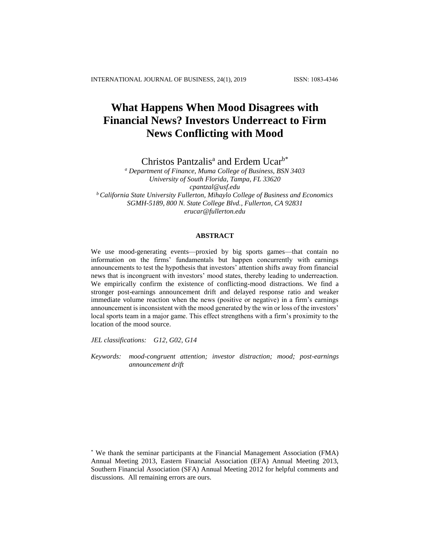# **What Happens When Mood Disagrees with Financial News? Investors Underreact to Firm News Conflicting with Mood**

Christos Pantzalis<sup>a</sup> and Erdem Ucar<sup>b\*</sup>

*<sup>a</sup> Department of Finance, Muma College of Business, BSN 3403 University of South Florida, Tampa, FL 33620 cpantzal@usf.edu <sup>b</sup> California State University Fullerton, Mihaylo College of Business and Economics SGMH-5189, 800 N. State College Blvd., Fullerton, CA 92831 erucar@fullerton.edu*

# **ABSTRACT**

We use mood-generating events—proxied by big sports games—that contain no information on the firms' fundamentals but happen concurrently with earnings announcements to test the hypothesis that investors' attention shifts away from financial news that is incongruent with investors' mood states, thereby leading to underreaction. We empirically confirm the existence of conflicting-mood distractions. We find a stronger post-earnings announcement drift and delayed response ratio and weaker immediate volume reaction when the news (positive or negative) in a firm's earnings announcement is inconsistent with the mood generated by the win or loss of the investors' local sports team in a major game. This effect strengthens with a firm's proximity to the location of the mood source.

*JEL classifications: G12, G02, G14*

*Keywords: mood-congruent attention; investor distraction; mood; post-earnings announcement drift*

<sup>\*</sup> We thank the seminar participants at the Financial Management Association (FMA) Annual Meeting 2013, Eastern Financial Association (EFA) Annual Meeting 2013, Southern Financial Association (SFA) Annual Meeting 2012 for helpful comments and discussions. All remaining errors are ours.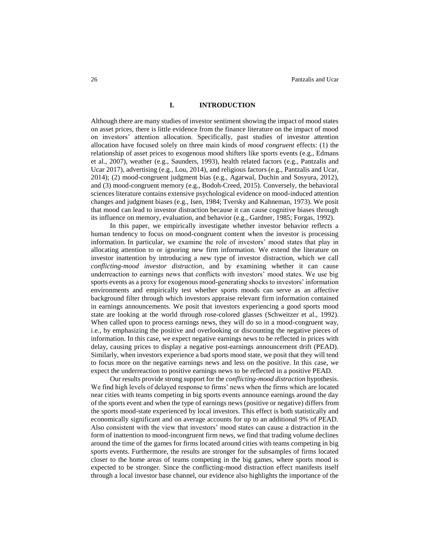## **I. INTRODUCTION**

Although there are many studies of investor sentiment showing the impact of mood states on asset prices, there is little evidence from the finance literature on the impact of mood on investors' attention allocation. Specifically, past studies of investor attention allocation have focused solely on three main kinds of *mood congruent* effects: (1) the relationship of asset prices to exogenous mood shifters like sports events (e.g., Edmans et al., 2007), weather (e.g., Saunders, 1993), health related factors (e.g., Pantzalis and Ucar 2017), advertising (e.g., Lou, 2014), and religious factors (e.g., Pantzalis and Ucar, 2014); (2) mood-congruent judgment bias (e.g., Agarwal, Duchin and Sosyura, 2012), and (3) mood-congruent memory (e.g., Bodoh-Creed, 2015). Conversely, the behavioral sciences literature contains extensive psychological evidence on mood-induced attention changes and judgment biases (e.g., Isen, 1984; Tversky and Kahneman, 1973). We posit that mood can lead to investor distraction because it can cause cognitive biases through its influence on memory, evaluation, and behavior (e.g., Gardner, 1985; Forgas, 1992).

In this paper, we empirically investigate whether investor behavior reflects a human tendency to focus on mood-congruent content when the investor is processing information. In particular, we examine the role of investors' mood states that play in allocating attention to or ignoring new firm information. We extend the literature on investor inattention by introducing a new type of investor distraction, which we call *conflicting-mood investor distraction*, and by examining whether it can cause underreaction to earnings news that conflicts with investors' mood states. We use big sports events as a proxy for exogenous mood-generating shocks to investors' information environments and empirically test whether sports moods can serve as an affective background filter through which investors appraise relevant firm information contained in earnings announcements. We posit that investors experiencing a good sports mood state are looking at the world through rose-colored glasses (Schweitzer et al., 1992). When called upon to process earnings news, they will do so in a mood-congruent way, i.e., by emphasizing the positive and overlooking or discounting the negative pieces of information. In this case, we expect negative earnings news to be reflected in prices with delay, causing prices to display a negative post-earnings announcement drift (PEAD). Similarly, when investors experience a bad sports mood state, we posit that they will tend to focus more on the negative earnings news and less on the positive. In this case, we expect the underreaction to positive earnings news to be reflected in a positive PEAD.

Our results provide strong support for the *conflicting-mood distraction* hypothesis. We find high levels of delayed response to firms' news when the firms which are located near cities with teams competing in big sports events announce earnings around the day of the sports event and when the type of earnings news (positive or negative) differs from the sports mood-state experienced by local investors. This effect is both statistically and economically significant and on average accounts for up to an additional 9% of PEAD. Also consistent with the view that investors' mood states can cause a distraction in the form of inattention to mood-incongruent firm news, we find that trading volume declines around the time of the games for firms located around cities with teams competing in big sports events. Furthermore, the results are stronger for the subsamples of firms located closer to the home areas of teams competing in the big games, where sports mood is expected to be stronger. Since the conflicting-mood distraction effect manifests itself through a local investor base channel, our evidence also highlights the importance of the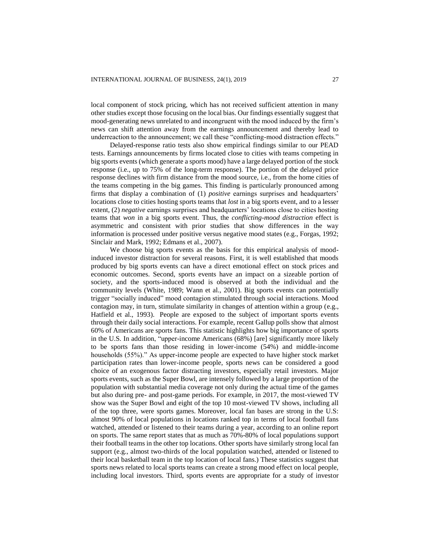local component of stock pricing, which has not received sufficient attention in many other studies except those focusing on the local bias. Our findings essentially suggest that mood-generating news unrelated to and incongruent with the mood induced by the firm's news can shift attention away from the earnings announcement and thereby lead to underreaction to the announcement; we call these "conflicting-mood distraction effects."

Delayed-response ratio tests also show empirical findings similar to our PEAD tests. Earnings announcements by firms located close to cities with teams competing in big sports events (which generate a sports mood) have a large delayed portion of the stock response (i.e., up to 75% of the long-term response). The portion of the delayed price response declines with firm distance from the mood source, i.e., from the home cities of the teams competing in the big games. This finding is particularly pronounced among firms that display a combination of (1) *positive* earnings surprises and headquarters' locations close to cities hosting sports teams that *lost* in a big sports event, and to a lesser extent, (2) *negative* earnings surprises and headquarters' locations close to cities hosting teams that *won* in a big sports event. Thus, the *conflicting-mood distraction* effect is asymmetric and consistent with prior studies that show differences in the way information is processed under positive versus negative mood states (e.g., Forgas, 1992; Sinclair and Mark, 1992; Edmans et al., 2007).

We choose big sports events as the basis for this empirical analysis of moodinduced investor distraction for several reasons. First, it is well established that moods produced by big sports events can have a direct emotional effect on stock prices and economic outcomes. Second, sports events have an impact on a sizeable portion of society, and the sports-induced mood is observed at both the individual and the community levels (White, 1989; Wann et al., 2001). Big sports events can potentially trigger "socially induced" mood contagion stimulated through social interactions. Mood contagion may, in turn, stimulate similarity in changes of attention within a group (e.g., Hatfield et al., 1993). People are exposed to the subject of important sports events through their daily social interactions. For example, recent Gallup polls show that almost 60% of Americans are sports fans. This statistic highlights how big importance of sports in the U.S. In addition, "upper-income Americans (68%) [are] significantly more likely to be sports fans than those residing in lower-income (54%) and middle-income households (55%)." As upper-income people are expected to have higher stock market participation rates than lower-income people, sports news can be considered a good choice of an exogenous factor distracting investors, especially retail investors. Major sports events, such as the Super Bowl, are intensely followed by a large proportion of the population with substantial media coverage not only during the actual time of the games but also during pre- and post-game periods. For example, in 2017, the most-viewed TV show was the Super Bowl and eight of the top 10 most-viewed TV shows, including all of the top three, were sports games. Moreover, local fan bases are strong in the U.S: almost 90% of local populations in locations ranked top in terms of local football fans watched, attended or listened to their teams during a year, according to an online report on sports. The same report states that as much as 70%-80% of local populations support their football teams in the other top locations. Other sports have similarly strong local fan support (e.g., almost two-thirds of the local population watched, attended or listened to their local basketball team in the top location of local fans.) These statistics suggest that sports news related to local sports teams can create a strong mood effect on local people, including local investors. Third, sports events are appropriate for a study of investor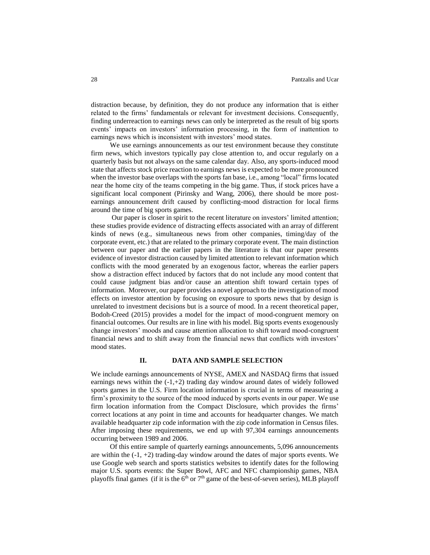distraction because, by definition, they do not produce any information that is either related to the firms' fundamentals or relevant for investment decisions. Consequently, finding underreaction to earnings news can only be interpreted as the result of big sports events' impacts on investors' information processing, in the form of inattention to earnings news which is inconsistent with investors' mood states.

We use earnings announcements as our test environment because they constitute firm news, which investors typically pay close attention to, and occur regularly on a quarterly basis but not always on the same calendar day. Also, any sports-induced mood state that affects stock price reaction to earnings news is expected to be more pronounced when the investor base overlaps with the sports fan base, i.e., among "local" firms located near the home city of the teams competing in the big game. Thus, if stock prices have a significant local component (Pirinsky and Wang, 2006), there should be more postearnings announcement drift caused by conflicting-mood distraction for local firms around the time of big sports games.

Our paper is closer in spirit to the recent literature on investors' limited attention; these studies provide evidence of distracting effects associated with an array of different kinds of news (e.g., simultaneous news from other companies, timing/day of the corporate event, etc.) that are related to the primary corporate event. The main distinction between our paper and the earlier papers in the literature is that our paper presents evidence of investor distraction caused by limited attention to relevant information which conflicts with the mood generated by an exogenous factor, whereas the earlier papers show a distraction effect induced by factors that do not include any mood content that could cause judgment bias and/or cause an attention shift toward certain types of information. Moreover, our paper provides a novel approach to the investigation of mood effects on investor attention by focusing on exposure to sports news that by design is unrelated to investment decisions but is a source of mood. In a recent theoretical paper, Bodoh-Creed (2015) provides a model for the impact of mood-congruent memory on financial outcomes. Our results are in line with his model. Big sports events exogenously change investors' moods and cause attention allocation to shift toward mood-congruent financial news and to shift away from the financial news that conflicts with investors' mood states.

## **II. DATA AND SAMPLE SELECTION**

We include earnings announcements of NYSE, AMEX and NASDAQ firms that issued earnings news within the  $(-1, +2)$  trading day window around dates of widely followed sports games in the U.S. Firm location information is crucial in terms of measuring a firm's proximity to the source of the mood induced by sports events in our paper. We use firm location information from the Compact Disclosure, which provides the firms' correct locations at any point in time and accounts for headquarter changes. We match available headquarter zip code information with the zip code information in Census files. After imposing these requirements, we end up with 97,304 earnings announcements occurring between 1989 and 2006.

Of this entire sample of quarterly earnings announcements, 5,096 announcements are within the  $(-1, +2)$  trading-day window around the dates of major sports events. We use Google web search and sports statistics websites to identify dates for the following major U.S. sports events: the Super Bowl, AFC and NFC championship games, NBA playoffs final games (if it is the  $6<sup>th</sup>$  or  $7<sup>th</sup>$  game of the best-of-seven series), MLB playoff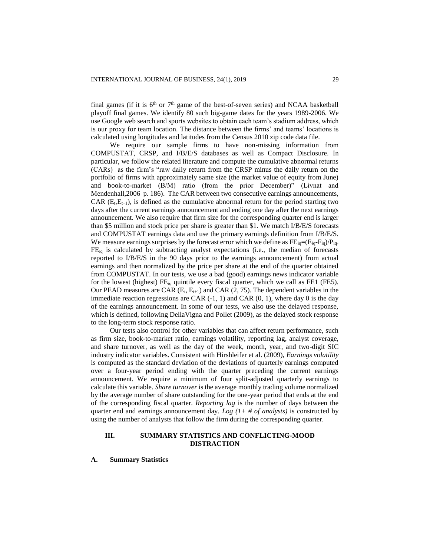final games (if it is  $6<sup>th</sup>$  or  $7<sup>th</sup>$  game of the best-of-seven series) and NCAA basketball playoff final games. We identify 80 such big-game dates for the years 1989-2006. We use Google web search and sports websites to obtain each team's stadium address, which is our proxy for team location. The distance between the firms' and teams' locations is calculated using longitudes and latitudes from the Census 2010 zip code data file.

We require our sample firms to have non-missing information from COMPUSTAT, CRSP, and I/B/E/S databases as well as Compact Disclosure. In particular, we follow the related literature and compute the cumulative abnormal returns (CARs) as the firm's "raw daily return from the CRSP minus the daily return on the portfolio of firms with approximately same size (the market value of equity from June) and book-to-market (B/M) ratio (from the prior December)" (Livnat and Mendenhall,2006 p. 186). The CAR between two consecutive earnings announcements, CAR  $(E_t, E_{t+1})$ , is defined as the cumulative abnormal return for the period starting two days after the current earnings announcement and ending one day after the next earnings announcement. We also require that firm size for the corresponding quarter end is larger than \$5 million and stock price per share is greater than \$1. We match I/B/E/S forecasts and COMPUSTAT earnings data and use the primary earnings definition from I/B/E/S. We measure earnings surprises by the forecast error which we define as  $FE_{ia} = (E_{ia} - F_{ia})/P_{ia}$ . FEiq is calculated by subtracting analyst expectations (i.e., the median of forecasts reported to I/B/E/S in the 90 days prior to the earnings announcement) from actual earnings and then normalized by the price per share at the end of the quarter obtained from COMPUSTAT. In our tests, we use a bad (good) earnings news indicator variable for the lowest (highest)  $FE_{ia}$  quintile every fiscal quarter, which we call as FE1 (FE5). Our PEAD measures are CAR  $(E_t, E_{t+1})$  and CAR (2, 75). The dependent variables in the immediate reaction regressions are CAR  $(-1, 1)$  and CAR  $(0, 1)$ , where day 0 is the day of the earnings announcement. In some of our tests, we also use the delayed response, which is defined, following DellaVigna and Pollet (2009), as the delayed stock response to the long-term stock response ratio.

Our tests also control for other variables that can affect return performance, such as firm size, book-to-market ratio, earnings volatility, reporting lag, analyst coverage, and share turnover, as well as the day of the week, month, year, and two-digit SIC industry indicator variables. Consistent with Hirshleifer et al. (2009), *Earnings volatility*  is computed as the standard deviation of the deviations of quarterly earnings computed over a four-year period ending with the quarter preceding the current earnings announcement. We require a minimum of four split-adjusted quarterly earnings to calculate this variable. *Share turnover* is the average monthly trading volume normalized by the average number of share outstanding for the one-year period that ends at the end of the corresponding fiscal quarter. *Reporting lag* is the number of days between the quarter end and earnings announcement day. *Log*  $(1 + \# of \text{analysts})$  is constructed by using the number of analysts that follow the firm during the corresponding quarter.

# **III. SUMMARY STATISTICS AND CONFLICTING-MOOD DISTRACTION**

**A. Summary Statistics**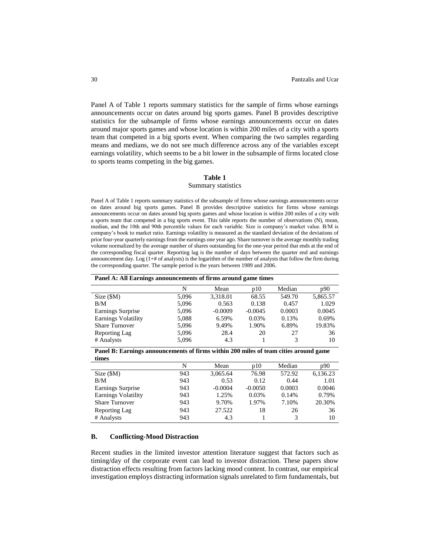Panel A of Table 1 reports summary statistics for the sample of firms whose earnings announcements occur on dates around big sports games. Panel B provides descriptive statistics for the subsample of firms whose earnings announcements occur on dates around major sports games and whose location is within 200 miles of a city with a sports team that competed in a big sports event. When comparing the two samples regarding means and medians, we do not see much difference across any of the variables except earnings volatility, which seems to be a bit lower in the subsample of firms located close to sports teams competing in the big games.

## **Table 1**

## Summary statistics

Panel A of Table 1 reports summary statistics of the subsample of firms whose earnings announcements occur on dates around big sports games. Panel B provides descriptive statistics for firms whose earnings announcements occur on dates around big sports games and whose location is within 200 miles of a city with a sports team that competed in a big sports event. This table reports the number of observations (N), mean, median, and the 10th and 90th percentile values for each variable. Size is company's market value. B/M is company's book to market ratio. Earnings volatility is measured as the standard deviation of the deviations of prior four-year quarterly earnings from the earnings one year ago. Share turnover is the average monthly trading volume normalized by the average number of shares outstanding for the one-year period that ends at the end of the corresponding fiscal quarter. Reporting lag is the number of days between the quarter end and earnings announcement day. Log (1+# of analysts) is the logarithm of the number of analysts that follow the firm during the corresponding quarter. The sample period is the years between 1989 and 2006.

| Panel A: All Earnings announcements of firms around game times |       |           |           |        |          |  |  |  |  |
|----------------------------------------------------------------|-------|-----------|-----------|--------|----------|--|--|--|--|
|                                                                | N     | Mean      | p10       | Median | p90      |  |  |  |  |
| Size(SM)                                                       | 5.096 | 3,318.01  | 68.55     | 549.70 | 5,865.57 |  |  |  |  |
| B/M                                                            | 5,096 | 0.563     | 0.138     | 0.457  | 1.029    |  |  |  |  |
| Earnings Surprise                                              | 5,096 | $-0.0009$ | $-0.0045$ | 0.0003 | 0.0045   |  |  |  |  |
| Earnings Volatility                                            | 5,088 | 6.59%     | 0.03%     | 0.13%  | 0.69%    |  |  |  |  |
| <b>Share Turnover</b>                                          | 5,096 | 9.49%     | 1.90%     | 6.89%  | 19.83%   |  |  |  |  |
| Reporting Lag                                                  | 5,096 | 28.4      | 20        | 27     | 36       |  |  |  |  |
| # Analysts                                                     | 5,096 | 4.3       |           | 3      | 10       |  |  |  |  |

**Panel B: Earnings announcements of firms within 200 miles of team cities around game times**

| N   | Mean      | p10       | Median | p90      |
|-----|-----------|-----------|--------|----------|
| 943 | 3,065.64  | 76.98     | 572.92 | 6,136.23 |
| 943 | 0.53      | 0.12      | 0.44   | 1.01     |
| 943 | $-0.0004$ | $-0.0050$ | 0.0003 | 0.0046   |
| 943 | 1.25%     | 0.03%     | 0.14%  | 0.79%    |
| 943 | 9.70%     | 1.97%     | 7.10%  | 20.30%   |
| 943 | 27.522    | 18        | 26     | 36       |
| 943 | 4.3       |           | 3      | 10       |
|     |           |           |        |          |

## **B. Conflicting-Mood Distraction**

Recent studies in the limited investor attention literature suggest that factors such as timing/day of the corporate event can lead to investor distraction. These papers show distraction effects resulting from factors lacking mood content. In contrast, our empirical investigation employs distracting information signals unrelated to firm fundamentals, but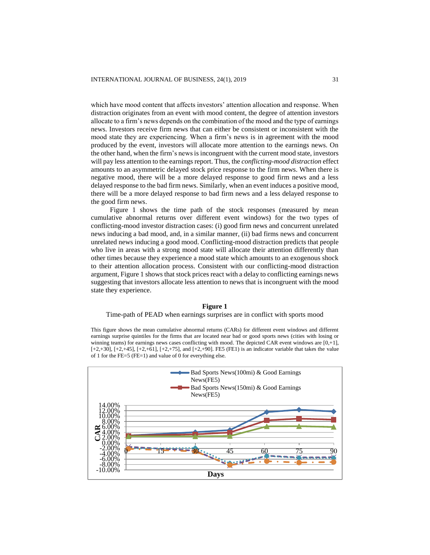which have mood content that affects investors' attention allocation and response. When distraction originates from an event with mood content, the degree of attention investors allocate to a firm's news depends on the combination of the mood and the type of earnings news. Investors receive firm news that can either be consistent or inconsistent with the mood state they are experiencing. When a firm's news is in agreement with the mood produced by the event, investors will allocate more attention to the earnings news. On the other hand, when the firm's newsis incongruent with the current mood state, investors will pay less attention to the earnings report. Thus, the *conflicting-mood distraction* effect amounts to an asymmetric delayed stock price response to the firm news. When there is negative mood, there will be a more delayed response to good firm news and a less delayed response to the bad firm news. Similarly, when an event induces a positive mood, there will be a more delayed response to bad firm news and a less delayed response to the good firm news.

Figure 1 shows the time path of the stock responses (measured by mean cumulative abnormal returns over different event windows) for the two types of conflicting-mood investor distraction cases: (i) good firm news and concurrent unrelated news inducing a bad mood, and, in a similar manner, (ii) bad firms news and concurrent unrelated news inducing a good mood. Conflicting-mood distraction predicts that people who live in areas with a strong mood state will allocate their attention differently than other times because they experience a mood state which amounts to an exogenous shock to their attention allocation process. Consistent with our conflicting-mood distraction argument, Figure 1 shows that stock prices react with a delay to conflicting earnings news suggesting that investors allocate less attention to news that is incongruent with the mood state they experience.

#### **Figure 1**

# Time-path of PEAD when earnings surprises are in conflict with sports mood

This figure shows the mean cumulative abnormal returns (CARs) for different event windows and different earnings surprise quintiles for the firms that are located near bad or good sports news (cities with losing or winning teams) for earnings news cases conflicting with mood. The depicted CAR event windows are  $[0, +1]$ , [+2,+30], [+2,+45], [+2,+61], [+2,+75], and [+2,+90]. FE5 (FE1) is an indicator variable that takes the value of 1 for the FE=5 (FE=1) and value of 0 for everything else.

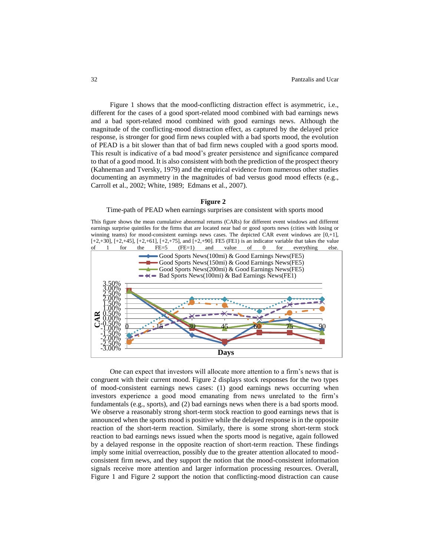Figure 1 shows that the mood-conflicting distraction effect is asymmetric, i.e., different for the cases of a good sport-related mood combined with bad earnings news and a bad sport-related mood combined with good earnings news. Although the magnitude of the conflicting-mood distraction effect, as captured by the delayed price response, is stronger for good firm news coupled with a bad sports mood, the evolution of PEAD is a bit slower than that of bad firm news coupled with a good sports mood. This result is indicative of a bad mood's greater persistence and significance compared to that of a good mood. It is also consistent with both the prediction of the prospect theory (Kahneman and Tversky, 1979) and the empirical evidence from numerous other studies documenting an asymmetry in the magnitudes of bad versus good mood effects (e.g., Carroll et al., 2002; White, 1989; Edmans et al., 2007).

#### **Figure 2**

## Time-path of PEAD when earnings surprises are consistent with sports mood

This figure shows the mean cumulative abnormal returns (CARs) for different event windows and different earnings surprise quintiles for the firms that are located near bad or good sports news (cities with losing or winning teams) for mood-consistent earnings news cases. The depicted CAR event windows are  $[0, +1]$ ,



One can expect that investors will allocate more attention to a firm's news that is congruent with their current mood. Figure 2 displays stock responses for the two types of mood-consistent earnings news cases: (1) good earnings news occurring when investors experience a good mood emanating from news unrelated to the firm's fundamentals (e.g., sports), and (2) bad earnings news when there is a bad sports mood. We observe a reasonably strong short-term stock reaction to good earnings news that is announced when the sports mood is positive while the delayed response is in the opposite reaction of the short-term reaction. Similarly, there is some strong short-term stock reaction to bad earnings news issued when the sports mood is negative, again followed by a delayed response in the opposite reaction of short-term reaction. These findings imply some initial overreaction, possibly due to the greater attention allocated to moodconsistent firm news, and they support the notion that the mood-consistent information signals receive more attention and larger information processing resources. Overall, Figure 1 and Figure 2 support the notion that conflicting-mood distraction can cause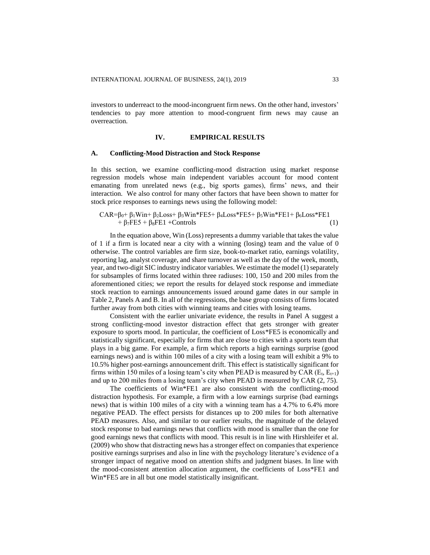investors to underreact to the mood-incongruent firm news. On the other hand, investors' tendencies to pay more attention to mood-congruent firm news may cause an overreaction.

## **IV. EMPIRICAL RESULTS**

## **A. Conflicting-Mood Distraction and Stock Response**

In this section, we examine conflicting-mood distraction using market response regression models whose main independent variables account for mood content emanating from unrelated news (e.g., big sports games), firms' news, and their interaction. We also control for many other factors that have been shown to matter for stock price responses to earnings news using the following model:

# $CAR = \beta_0 + \beta_1 \text{Win} + \beta_2 \text{Loss} + \beta_3 \text{Win} * FES + \beta_4 \text{Loss} * FES + \beta_5 \text{Win} * FEL1 + \beta_6 \text{Loss} * FEL1$  $+ \beta_7FE5 + \beta_8FE1 + Controls$  (1)

In the equation above, Win (Loss) represents a dummy variable that takes the value of 1 if a firm is located near a city with a winning (losing) team and the value of 0 otherwise. The control variables are firm size, book-to-market ratio, earnings volatility, reporting lag, analyst coverage, and share turnover as well as the day of the week, month, year, and two-digit SIC industry indicator variables. We estimate the model (1) separately for subsamples of firms located within three radiuses: 100, 150 and 200 miles from the aforementioned cities; we report the results for delayed stock response and immediate stock reaction to earnings announcements issued around game dates in our sample in Table 2, Panels A and B. In all of the regressions, the base group consists of firms located further away from both cities with winning teams and cities with losing teams.

Consistent with the earlier univariate evidence, the results in Panel A suggest a strong conflicting-mood investor distraction effect that gets stronger with greater exposure to sports mood. In particular, the coefficient of Loss\*FE5 is economically and statistically significant, especially for firms that are close to cities with a sports team that plays in a big game. For example, a firm which reports a high earnings surprise (good earnings news) and is within 100 miles of a city with a losing team will exhibit a 9% to 10.5% higher post-earnings announcement drift. This effect is statistically significant for firms within 150 miles of a losing team's city when PEAD is measured by CAR ( $E_t$ ,  $E_{t+1}$ ) and up to 200 miles from a losing team's city when PEAD is measured by CAR (2, 75).

The coefficients of Win\*FE1 are also consistent with the conflicting-mood distraction hypothesis. For example, a firm with a low earnings surprise (bad earnings news) that is within 100 miles of a city with a winning team has a 4.7% to 6.4% more negative PEAD. The effect persists for distances up to 200 miles for both alternative PEAD measures. Also, and similar to our earlier results, the magnitude of the delayed stock response to bad earnings news that conflicts with mood is smaller than the one for good earnings news that conflicts with mood. This result is in line with Hirshleifer et al. (2009) who show that distracting news has a stronger effect on companies that experience positive earnings surprises and also in line with the psychology literature's evidence of a stronger impact of negative mood on attention shifts and judgment biases. In line with the mood-consistent attention allocation argument, the coefficients of Loss\*FE1 and Win\*FE5 are in all but one model statistically insignificant.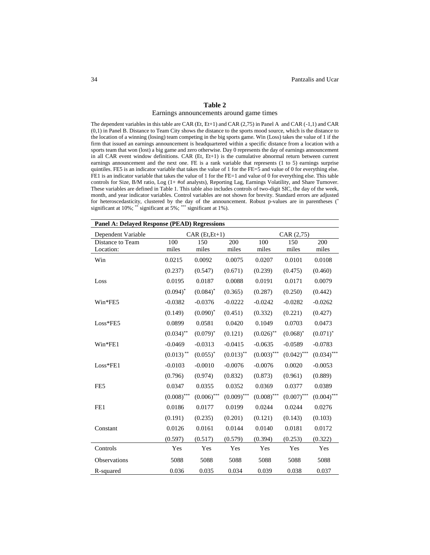## **Table 2**

#### Earnings announcements around game times

The dependent variables in this table are CAR (Et, Et+1) and CAR (2,75) in Panel A and CAR (-1,1) and CAR (0,1) in Panel B. Distance to Team City shows the distance to the sports mood source, which is the distance to the location of a winning (losing) team competing in the big sports game. Win (Loss) takes the value of 1 if the firm that issued an earnings announcement is headquartered within a specific distance from a location with a sports team that won (lost) a big game and zero otherwise. Day 0 represents the day of earnings announcement in all CAR event window definitions. CAR (Et, Et+1) is the cumulative abnormal return between current earnings announcement and the next one. FE is a rank variable that represents (1 to 5) earnings surprise quintiles. FE5 is an indicator variable that takes the value of 1 for the FE=5 and value of 0 for everything else. FE1 is an indicator variable that takes the value of 1 for the FE=1 and value of 0 for everything else. This table controls for Size, B/M ratio, Log (1+ #of analysts), Reporting Lag, Earnings Volatility, and Share Turnover. These variables are defined in Table 1. This table also includes controls of two-digit SIC, the day of the week, month, and year indicator variables. Control variables are not shown for brevity. Standard errors are adjusted for heteroscedasticity, clustered by the day of the announcement. Robust p-values are in parentheses (\* significant at 10%; \*\* significant at 5%; \*\*\* significant at 1%).

| <b>Panel A: Delayed Response (PEAD) Regressions</b> |               |                 |               |               |               |               |  |  |
|-----------------------------------------------------|---------------|-----------------|---------------|---------------|---------------|---------------|--|--|
| Dependent Variable                                  |               | $CAR(Et, Et+1)$ |               |               | CAR (2,75)    |               |  |  |
| Distance to Team<br>Location:                       | 100<br>miles  | 150<br>miles    | 200<br>miles  | 100<br>miles  | 150<br>miles  | 200<br>miles  |  |  |
| Win                                                 | 0.0215        | 0.0092          | 0.0075        | 0.0207        | 0.0101        | 0.0108        |  |  |
|                                                     | (0.237)       | (0.547)         | (0.671)       | (0.239)       | (0.475)       | (0.460)       |  |  |
| Loss                                                | 0.0195        | 0.0187          | 0.0088        | 0.0191        | 0.0171        | 0.0079        |  |  |
|                                                     | $(0.094)^*$   | $(0.084)^*$     | (0.365)       | (0.287)       | (0.250)       | (0.442)       |  |  |
| Win*FE5                                             | $-0.0382$     | $-0.0376$       | $-0.0222$     | $-0.0242$     | $-0.0282$     | $-0.0262$     |  |  |
|                                                     | (0.149)       | $(0.090)^*$     | (0.451)       | (0.332)       | (0.221)       | (0.427)       |  |  |
| $Loss*FE5$                                          | 0.0899        | 0.0581          | 0.0420        | 0.1049        | 0.0703        | 0.0473        |  |  |
|                                                     | $(0.034)$ **  | $(0.079)^*$     | (0.121)       | $(0.026)$ **  | $(0.068)^*$   | $(0.071)^*$   |  |  |
| $Win*FE1$                                           | $-0.0469$     | $-0.0313$       | $-0.0415$     | $-0.0635$     | $-0.0589$     | $-0.0783$     |  |  |
|                                                     | $(0.013)$ **  | $(0.055)^*$     | $(0.013)$ **  | $(0.003)$ *** | $(0.042)$ *** | $(0.034)$ *** |  |  |
| $Loss*FE1$                                          | $-0.0103$     | $-0.0010$       | $-0.0076$     | $-0.0076$     | 0.0020        | $-0.0053$     |  |  |
|                                                     | (0.796)       | (0.974)         | (0.832)       | (0.873)       | (0.961)       | (0.889)       |  |  |
| FE <sub>5</sub>                                     | 0.0347        | 0.0355          | 0.0352        | 0.0369        | 0.0377        | 0.0389        |  |  |
|                                                     | $(0.008)$ *** | $(0.006)$ ***   | $(0.009)$ *** | $(0.008)$ *** | $(0.007)$ *** | $(0.004)$ *** |  |  |
| FE1                                                 | 0.0186        | 0.0177          | 0.0199        | 0.0244        | 0.0244        | 0.0276        |  |  |
|                                                     | (0.191)       | (0.235)         | (0.201)       | (0.121)       | (0.143)       | (0.103)       |  |  |
| Constant                                            | 0.0126        | 0.0161          | 0.0144        | 0.0140        | 0.0181        | 0.0172        |  |  |
|                                                     | (0.597)       | (0.517)         | (0.579)       | (0.394)       | (0.253)       | (0.322)       |  |  |
| Controls                                            | Yes           | Yes             | Yes           | Yes           | Yes           | Yes           |  |  |
| Observations                                        | 5088          | 5088            | 5088          | 5088          | 5088          | 5088          |  |  |
| R-squared                                           | 0.036         | 0.035           | 0.034         | 0.039         | 0.038         | 0.037         |  |  |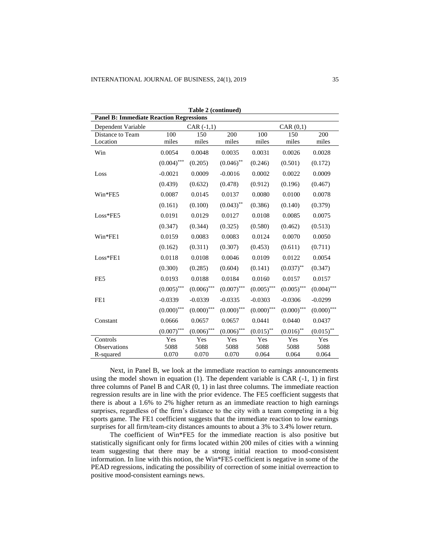|                                                | Table 2 (continued) |                          |               |               |               |               |  |  |
|------------------------------------------------|---------------------|--------------------------|---------------|---------------|---------------|---------------|--|--|
| <b>Panel B: Immediate Reaction Regressions</b> |                     |                          |               |               |               |               |  |  |
| Dependent Variable                             |                     | CAR(0,1)<br>$CAR (-1,1)$ |               |               |               |               |  |  |
| Distance to Team                               | 100                 | 150                      | 200           | 100           | 150           | 200           |  |  |
| Location                                       | miles               | miles                    | miles         | miles         | miles         | miles         |  |  |
| Win                                            | 0.0054              | 0.0048                   | 0.0035        | 0.0031        | 0.0026        | 0.0028        |  |  |
|                                                | $(0.004)$ ***       | (0.205)                  | $(0.046)$ **  | (0.246)       | (0.501)       | (0.172)       |  |  |
| Loss                                           | $-0.0021$           | 0.0009                   | $-0.0016$     | 0.0002        | 0.0022        | 0.0009        |  |  |
|                                                | (0.439)             | (0.632)                  | (0.478)       | (0.912)       | (0.196)       | (0.467)       |  |  |
| Win*FE5                                        | 0.0087              | 0.0145                   | 0.0137        | 0.0080        | 0.0100        | 0.0078        |  |  |
|                                                | (0.161)             | (0.100)                  | $(0.043)$ **  | (0.386)       | (0.140)       | (0.379)       |  |  |
| $Loss*FE5$                                     | 0.0191              | 0.0129                   | 0.0127        | 0.0108        | 0.0085        | 0.0075        |  |  |
|                                                | (0.347)             | (0.344)                  | (0.325)       | (0.580)       | (0.462)       | (0.513)       |  |  |
| $Win*FE1$                                      | 0.0159              | 0.0083                   | 0.0083        | 0.0124        | 0.0070        | 0.0050        |  |  |
|                                                | (0.162)             | (0.311)                  | (0.307)       | (0.453)       | (0.611)       | (0.711)       |  |  |
| Loss*FE1                                       | 0.0118              | 0.0108                   | 0.0046        | 0.0109        | 0.0122        | 0.0054        |  |  |
|                                                | (0.300)             | (0.285)                  | (0.604)       | (0.141)       | $(0.037)$ **  | (0.347)       |  |  |
| FE5                                            | 0.0193              | 0.0188                   | 0.0184        | 0.0160        | 0.0157        | 0.0157        |  |  |
|                                                | $(0.005)$ ***       | $(0.006)$ ***            | $(0.007)$ *** | $(0.005)$ *** | $(0.005)$ *** | $(0.004)$ *** |  |  |
| FE1                                            | $-0.0339$           | $-0.0339$                | $-0.0335$     | $-0.0303$     | $-0.0306$     | $-0.0299$     |  |  |
|                                                | $(0.000)$ ***       | $(0.000)$ ***            | $(0.000)$ *** | $(0.000)$ *** | $(0.000)$ *** | $(0.000)$ *** |  |  |
| Constant                                       | 0.0666              | 0.0657                   | 0.0657        | 0.0441        | 0.0440        | 0.0437        |  |  |
|                                                | $(0.007)$ ***       | $(0.006)$ ***            | $(0.006)$ *** | $(0.015)$ **  | $(0.016)$ **  | $(0.015)$ **  |  |  |
| Controls                                       | Yes                 | Yes                      | Yes           | Yes           | Yes           | Yes           |  |  |
| Observations                                   | 5088                | 5088                     | 5088          | 5088          | 5088          | 5088          |  |  |
| R-squared                                      | 0.070               | 0.070                    | 0.070         | 0.064         | 0.064         | 0.064         |  |  |

Next, in Panel B, we look at the immediate reaction to earnings announcements using the model shown in equation  $(1)$ . The dependent variable is CAR  $(-1, 1)$  in first three columns of Panel B and CAR (0, 1) in last three columns. The immediate reaction regression results are in line with the prior evidence. The FE5 coefficient suggests that there is about a 1.6% to 2% higher return as an immediate reaction to high earnings surprises, regardless of the firm's distance to the city with a team competing in a big sports game. The FE1 coefficient suggests that the immediate reaction to low earnings surprises for all firm/team-city distances amounts to about a 3% to 3.4% lower return.

The coefficient of Win\*FE5 for the immediate reaction is also positive but statistically significant only for firms located within 200 miles of cities with a winning team suggesting that there may be a strong initial reaction to mood-consistent information. In line with this notion, the Win\*FE5 coefficient is negative in some of the PEAD regressions, indicating the possibility of correction of some initial overreaction to positive mood-consistent earnings news.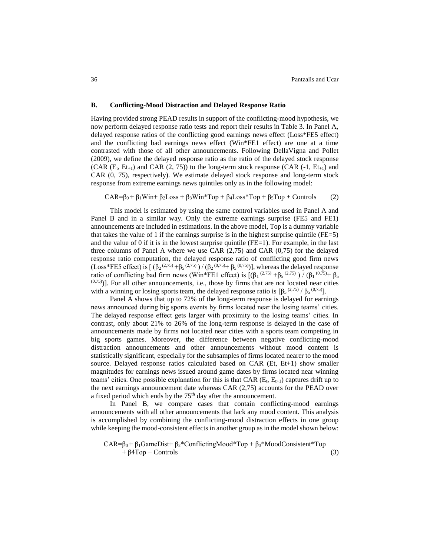## **B. Conflicting-Mood Distraction and Delayed Response Ratio**

Having provided strong PEAD results in support of the conflicting-mood hypothesis, we now perform delayed response ratio tests and report their results in Table 3. In Panel A, delayed response ratios of the conflicting good earnings news effect (Loss\*FE5 effect) and the conflicting bad earnings news effect (Win\*FE1 effect) are one at a time contrasted with those of all other announcements. Following DellaVigna and Pollet (2009), we define the delayed response ratio as the ratio of the delayed stock response (CAR  $(E_t, E_{t+1})$  and CAR  $(2, 75)$ ) to the long-term stock response (CAR  $(-1, E_{t+1})$  and CAR (0, 75), respectively). We estimate delayed stock response and long-term stock response from extreme earnings news quintiles only as in the following model:

 $CAR = \beta_0 + \beta_1 Win + \beta_2Loss + \beta_3Win * Top + \beta_4Loss * Top + \beta_5Top + Controls$  (2)

This model is estimated by using the same control variables used in Panel A and Panel B and in a similar way. Only the extreme earnings surprise (FE5 and FE1) announcements are included in estimations. In the above model, Top is a dummy variable that takes the value of 1 if the earnings surprise is in the highest surprise quintile ( $FE=5$ ) and the value of 0 if it is in the lowest surprise quintile (FE=1). For example, in the last three columns of Panel A where we use CAR (2,75) and CAR (0,75) for the delayed response ratio computation, the delayed response ratio of conflicting good firm news (Loss\*FE5 effect) is  $[(β<sub>2</sub>^{(2,75)} + β<sub>5</sub>^{(2,75)}) / (β<sub>2</sub>^{(0,75)} + β<sub>5</sub>^{(0,75)})]$ , whereas the delayed response ratio of conflicting bad firm news (Win\*FE1 effect) is  $[(\beta_1^{(2,75)} + \beta_5^{(2,75)}) / (\beta_1^{(0,75)} + \beta_5^{(0,75)})$  $(0.75)$ ]. For all other announcements, i.e., those by firms that are not located near cities with a winning or losing sports team, the delayed response ratio is  $[\beta_5^{(2,75)}/\beta_5^{(0,75)}]$ .

Panel A shows that up to 72% of the long-term response is delayed for earnings news announced during big sports events by firms located near the losing teams' cities. The delayed response effect gets larger with proximity to the losing teams' cities. In contrast, only about 21% to 26% of the long-term response is delayed in the case of announcements made by firms not located near cities with a sports team competing in big sports games. Moreover, the difference between negative conflicting-mood distraction announcements and other announcements without mood content is statistically significant, especially for the subsamples of firms located nearer to the mood source. Delayed response ratios calculated based on CAR (Et, Et+1) show smaller magnitudes for earnings news issued around game dates by firms located near winning teams' cities. One possible explanation for this is that CAR ( $E_t$ ,  $E_{t+1}$ ) captures drift up to the next earnings announcement date whereas CAR (2,75) accounts for the PEAD over a fixed period which ends by the 75<sup>th</sup> day after the announcement.

In Panel B, we compare cases that contain conflicting-mood earnings announcements with all other announcements that lack any mood content. This analysis is accomplished by combining the conflicting-mood distraction effects in one group while keeping the mood-consistent effects in another group as in the model shown below:

CAR= $\beta_0 + \beta_1$ GameDist+ $\beta_2$ \*ConflictingMood\*Top +  $\beta_3$ \*MoodConsistent\*Top  $+ \beta 4 \text{Top} + \text{Controls}$  (3)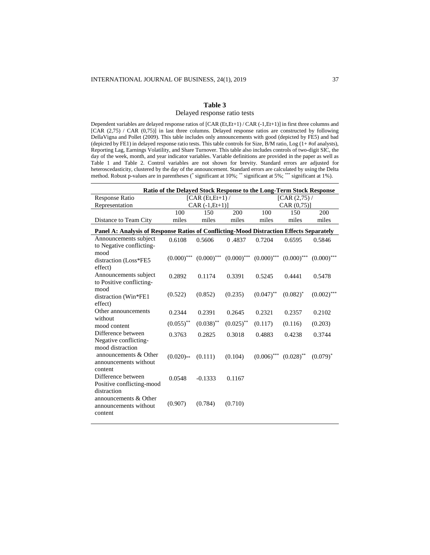# **Table 3** Delayed response ratio tests

Dependent variables are delayed response ratios of [CAR (Et,Et+1) / CAR (-1,Et+1)] in first three columns and [CAR (2,75) / CAR (0,75)] in last three columns. Delayed response ratios are constructed by following DellaVigna and Pollet (2009). This table includes only announcements with good (depicted by FE5) and bad (depicted by FE1) in delayed response ratio tests. This table controls for Size, B/M ratio, Log (1+ #of analysts), Reporting Lag, Earnings Volatility, and Share Turnover. This table also includes controls of two-digit SIC, the day of the week, month, and year indicator variables. Variable definitions are provided in the paper as well as Table 1 and Table 2. Control variables are not shown for brevity. Standard errors are adjusted for heteroscedasticity, clustered by the day of the announcement. Standard errors are calculated by using the Delta method. Robust p-values are in parentheses (\* significant at 10%; \*\* significant at 5%; \*\*\* significant at 1%).

|                                                                                         | Ratio of the Delayed Stock Response to the Long-Term Stock Response |                    |              |                                                         |              |               |  |  |
|-----------------------------------------------------------------------------------------|---------------------------------------------------------------------|--------------------|--------------|---------------------------------------------------------|--------------|---------------|--|--|
| <b>Response Ratio</b>                                                                   |                                                                     | $[CAR(Et, Et+1) /$ |              | [CAR (2, 75) /                                          |              |               |  |  |
| Representation                                                                          |                                                                     | $CAR (-1, Et+1)]$  |              |                                                         | CAR (0, 75)  |               |  |  |
|                                                                                         | 100                                                                 | 150                | 200          | 100                                                     | 150          | 200           |  |  |
| Distance to Team City                                                                   | miles                                                               | miles              | miles        | miles                                                   | miles        | miles         |  |  |
| Panel A: Analysis of Response Ratios of Conflicting-Mood Distraction Effects Separately |                                                                     |                    |              |                                                         |              |               |  |  |
| Announcements subject<br>to Negative conflicting-<br>mood                               | 0.6108                                                              | 0.5606             | 0.4837       | 0.7204                                                  | 0.6595       | 0.5846        |  |  |
| distraction (Loss*FE5<br>effect)                                                        | $(0.000)$ ***                                                       |                    |              | $(0.000)$ *** $(0.000)$ *** $(0.000)$ *** $(0.000)$ *** |              | $(0.000)$ *** |  |  |
| Announcements subject<br>to Positive conflicting-                                       | 0.2892                                                              | 0.1174             | 0.3391       | 0.5245                                                  | 0.4441       | 0.5478        |  |  |
| mood<br>distraction (Win*FE1<br>effect)                                                 | (0.522)                                                             | (0.852)            | (0.235)      | $(0.047)$ **                                            | $(0.082)^*$  | $(0.002)$ *** |  |  |
| Other announcements<br>without                                                          | 0.2344                                                              | 0.2391             | 0.2645       | 0.2321                                                  | 0.2357       | 0.2102        |  |  |
| mood content                                                                            | $(0.055)$ **                                                        | $(0.038)$ **       | $(0.025)$ ** | (0.117)                                                 | (0.116)      | (0.203)       |  |  |
| Difference between<br>Negative conflicting-<br>mood distraction                         | 0.3763                                                              | 0.2825             | 0.3018       | 0.4883                                                  | 0.4238       | 0.3744        |  |  |
| announcements & Other<br>announcements without<br>content                               | $(0.020)$ **                                                        | (0.111)            | (0.104)      | $(0.006)$ ***                                           | $(0.028)$ ** | $(0.079)^*$   |  |  |
| Difference between<br>Positive conflicting-mood<br>distraction                          | 0.0548                                                              | $-0.1333$          | 0.1167       |                                                         |              |               |  |  |
| announcements & Other<br>announcements without<br>content                               | (0.907)                                                             | (0.784)            | (0.710)      |                                                         |              |               |  |  |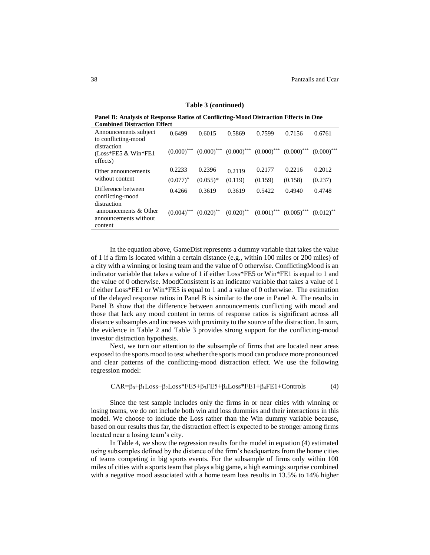| Panel B: Analysis of Response Ratios of Conflicting-Mood Distraction Effects in One<br><b>Combined Distraction Effect</b> |               |            |                                                                                                                           |         |         |               |  |  |  |
|---------------------------------------------------------------------------------------------------------------------------|---------------|------------|---------------------------------------------------------------------------------------------------------------------------|---------|---------|---------------|--|--|--|
| Announcements subject<br>to conflicting-mood                                                                              | 0.6499        | 0.6015     | 0.5869                                                                                                                    | 0.7599  | 0.7156  | 0.6761        |  |  |  |
| distraction<br>$(Loss*FE5 \& Win*FE1$<br>effects)                                                                         | $(0.000)$ *** |            | $(0.000)$ <sup>***</sup> $(0.000)$ <sup>***</sup> $(0.000)$ <sup>***</sup> $(0.000)$ <sup>***</sup>                       |         |         | $(0.000)$ *** |  |  |  |
| Other announcements                                                                                                       | 0.2233        | 0.2396     | 0.2119                                                                                                                    | 0.2177  | 0.2216  | 0.2012        |  |  |  |
| without content                                                                                                           | $(0.077)^*$   | $(0.055)*$ | (0.119)                                                                                                                   | (0.159) | (0.158) | (0.237)       |  |  |  |
| Difference between<br>conflicting-mood<br>distraction                                                                     | 0.4266        | 0.3619     | 0.3619                                                                                                                    | 0.5422  | 0.4940  | 0.4748        |  |  |  |
| announcements & Other<br>announcements without<br>content                                                                 | $(0.004)$ *** |            | $(0.020)$ <sup>**</sup> $(0.020)$ <sup>**</sup> $(0.001)$ <sup>***</sup> $(0.005)$ <sup>***</sup> $(0.012)$ <sup>**</sup> |         |         |               |  |  |  |

**Table 3 (continued)**

In the equation above, GameDist represents a dummy variable that takes the value of 1 if a firm is located within a certain distance (e.g., within 100 miles or 200 miles) of a city with a winning or losing team and the value of 0 otherwise. ConflictingMood is an indicator variable that takes a value of 1 if either Loss\*FE5 or Win\*FE1 is equal to 1 and the value of 0 otherwise. MoodConsistent is an indicator variable that takes a value of 1 if either Loss\*FE1 or Win\*FE5 is equal to 1 and a value of 0 otherwise. The estimation of the delayed response ratios in Panel B is similar to the one in Panel A. The results in Panel B show that the difference between announcements conflicting with mood and those that lack any mood content in terms of response ratios is significant across all distance subsamples and increases with proximity to the source of the distraction. In sum, the evidence in Table 2 and Table 3 provides strong support for the conflicting-mood investor distraction hypothesis.

Next, we turn our attention to the subsample of firms that are located near areas exposed to the sports mood to test whether the sports mood can produce more pronounced and clear patterns of the conflicting-mood distraction effect. We use the following regression model:

 $CAR = \beta_0 + \beta_1 Loss + \beta_2 Loss * FE5 + \beta_3 FE5 + \beta_4 Loss * FE1 + \beta_4 FE1 + Controls$  (4)

Since the test sample includes only the firms in or near cities with winning or losing teams, we do not include both win and loss dummies and their interactions in this model. We choose to include the Loss rather than the Win dummy variable because, based on our results thus far, the distraction effect is expected to be stronger among firms located near a losing team's city.

In Table 4, we show the regression results for the model in equation (4) estimated using subsamples defined by the distance of the firm's headquarters from the home cities of teams competing in big sports events. For the subsample of firms only within 100 miles of cities with a sports team that plays a big game, a high earnings surprise combined with a negative mood associated with a home team loss results in 13.5% to 14% higher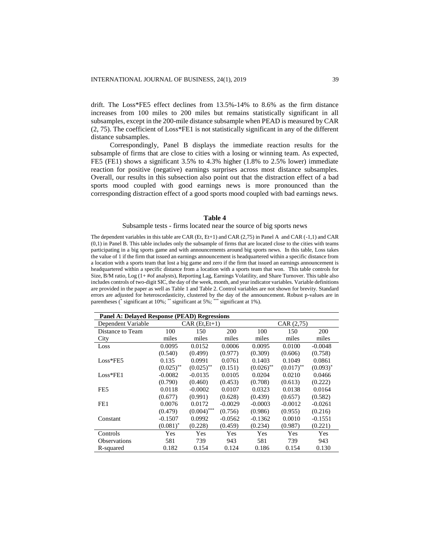drift. The Loss\*FE5 effect declines from 13.5%-14% to 8.6% as the firm distance increases from 100 miles to 200 miles but remains statistically significant in all subsamples, except in the 200-mile distance subsample when PEAD is measured by CAR (2, 75). The coefficient of Loss\*FE1 is not statistically significant in any of the different distance subsamples.

Correspondingly, Panel B displays the immediate reaction results for the subsample of firms that are close to cities with a losing or winning team. As expected, FE5 (FE1) shows a significant 3.5% to 4.3% higher (1.8% to 2.5% lower) immediate reaction for positive (negative) earnings surprises across most distance subsamples. Overall, our results in this subsection also point out that the distraction effect of a bad sports mood coupled with good earnings news is more pronounced than the corresponding distraction effect of a good sports mood coupled with bad earnings news.

## **Table 4**

## Subsample tests - firms located near the source of big sports news

The dependent variables in this table are CAR (Et, Et+1) and CAR (2,75) in Panel A and CAR (-1,1) and CAR (0,1) in Panel B. This table includes only the subsample of firms that are located close to the cities with teams participating in a big sports game and with announcements around big sports news. In this table, Loss takes the value of 1 if the firm that issued an earnings announcement is headquartered within a specific distance from a location with a sports team that lost a big game and zero if the firm that issued an earnings announcement is headquartered within a specific distance from a location with a sports team that won. This table controls for Size, B/M ratio, Log (1+ #of analysts), Reporting Lag, Earnings Volatility, and Share Turnover. This table also includes controls of two-digit SIC, the day of the week, month, and year indicator variables. Variable definitions are provided in the paper as well as Table 1 and Table 2. Control variables are not shown for brevity. Standard errors are adjusted for heteroscedasticity, clustered by the day of the announcement. Robust p-values are in parentheses (\* significant at 10%; \*\* significant at 5%; \*\*\* significant at 1%).

| <b>Panel A: Delayed Response (PEAD) Regressions</b> |              |                    |           |              |                         |             |  |  |  |
|-----------------------------------------------------|--------------|--------------------|-----------|--------------|-------------------------|-------------|--|--|--|
| Dependent Variable                                  |              | $CAR$ $(Et, Et+1)$ |           |              | CAR (2, 75)             |             |  |  |  |
| Distance to Team                                    | 100          | 150                | 200       | 100          | 150                     | 200         |  |  |  |
| City                                                | miles        | miles              | miles     | miles        | miles                   | miles       |  |  |  |
| Loss                                                | 0.0095       | 0.0152             | 0.0006    | 0.0095       | 0.0100                  | $-0.0048$   |  |  |  |
|                                                     | (0.540)      | (0.499)            | (0.977)   | (0.309)      | (0.606)                 | (0.758)     |  |  |  |
| $Loss*FE5$                                          | 0.135        | 0.0991             | 0.0761    | 0.1403       | 0.1049                  | 0.0861      |  |  |  |
|                                                     | $(0.025)$ ** | $(0.025)$ **       | (0.151)   | $(0.026)$ ** | $(0.017)$ <sup>**</sup> | $(0.093)^*$ |  |  |  |
| $Loss*FE1$                                          | $-0.0082$    | $-0.0135$          | 0.0105    | 0.0204       | 0.0210                  | 0.0466      |  |  |  |
|                                                     | (0.790)      | (0.460)            | (0.453)   | (0.708)      | (0.613)                 | (0.222)     |  |  |  |
| FE <sub>5</sub>                                     | 0.0118       | $-0.0002$          | 0.0107    | 0.0323       | 0.0138                  | 0.0164      |  |  |  |
|                                                     | (0.677)      | (0.991)            | (0.628)   | (0.439)      | (0.657)                 | (0.582)     |  |  |  |
| FE1                                                 | 0.0076       | 0.0172             | $-0.0029$ | $-0.0003$    | $-0.0012$               | $-0.0261$   |  |  |  |
|                                                     | (0.479)      | $(0.004)$ ***      | (0.756)   | (0.986)      | (0.955)                 | (0.216)     |  |  |  |
| Constant                                            | $-0.1507$    | 0.0992             | $-0.0562$ | $-0.1362$    | 0.0010                  | $-0.1551$   |  |  |  |
|                                                     | $(0.081)^*$  | (0.228)            | (0.459)   | (0.234)      | (0.987)                 | (0.221)     |  |  |  |
| Controls                                            | Yes          | Yes                | Yes       | Yes          | Yes                     | Yes         |  |  |  |
| <b>Observations</b>                                 | 581          | 739                | 943       | 581          | 739                     | 943         |  |  |  |
| R-squared                                           | 0.182        | 0.154              | 0.124     | 0.186        | 0.154                   | 0.130       |  |  |  |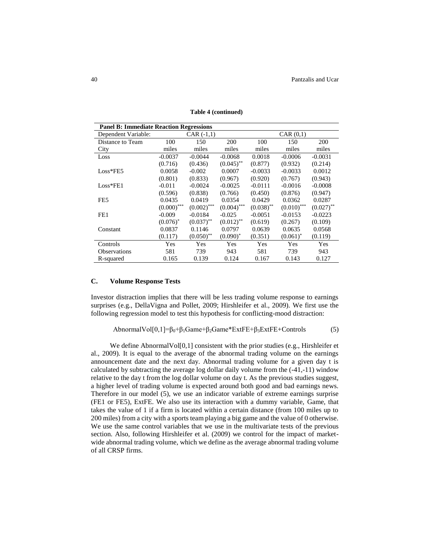| <b>Panel B: Immediate Reaction Regressions</b> |               |               |               |              |               |              |  |  |  |
|------------------------------------------------|---------------|---------------|---------------|--------------|---------------|--------------|--|--|--|
| Dependent Variable:                            |               | $CAR (-1,1)$  |               |              | CAR(0,1)      |              |  |  |  |
| Distance to Team                               | 100           | 150           | 200           | 100          | 150           | <b>200</b>   |  |  |  |
| City                                           | miles         | miles         | miles         | miles        | miles         | miles        |  |  |  |
| Loss                                           | $-0.0037$     | $-0.0044$     | $-0.0068$     | 0.0018       | $-0.0006$     | $-0.0031$    |  |  |  |
|                                                | (0.716)       | (0.436)       | $(0.045)$ **  | (0.877)      | (0.932)       | (0.214)      |  |  |  |
| $Loss*FE5$                                     | 0.0058        | $-0.002$      | 0.0007        | $-0.0033$    | $-0.0033$     | 0.0012       |  |  |  |
|                                                | (0.801)       | (0.833)       | (0.967)       | (0.920)      | (0.767)       | (0.943)      |  |  |  |
| $Loss*FE1$                                     | $-0.011$      | $-0.0024$     | $-0.0025$     | $-0.0111$    | $-0.0016$     | $-0.0008$    |  |  |  |
|                                                | (0.596)       | (0.838)       | (0.766)       | (0.450)      | (0.876)       | (0.947)      |  |  |  |
| FE5                                            | 0.0435        | 0.0419        | 0.0354        | 0.0429       | 0.0362        | 0.0287       |  |  |  |
|                                                | $(0.000)$ *** | $(0.002)$ *** | $(0.004)$ *** | $(0.038)$ ** | $(0.010)$ *** | $(0.027)$ ** |  |  |  |
| FE <sub>1</sub>                                | $-0.009$      | $-0.0184$     | $-0.025$      | $-0.0051$    | $-0.0153$     | $-0.0223$    |  |  |  |
|                                                | $(0.076)^*$   | $(0.037)$ **  | $(0.012)$ **  | (0.619)      | (0.267)       | (0.109)      |  |  |  |
| Constant                                       | 0.0837        | 0.1146        | 0.0797        | 0.0639       | 0.0635        | 0.0568       |  |  |  |
|                                                | (0.117)       | $(0.050)$ **  | $(0.090)$ *   | (0.351)      | $(0.061)^*$   | (0.119)      |  |  |  |
| Controls                                       | Yes           | <b>Yes</b>    | Yes           | Yes          | <b>Yes</b>    | Yes          |  |  |  |
| <b>Observations</b>                            | 581           | 739           | 943           | 581          | 739           | 943          |  |  |  |
| R-squared                                      | 0.165         | 0.139         | 0.124         | 0.167        | 0.143         | 0.127        |  |  |  |

**Table 4 (continued)**

## **C. Volume Response Tests**

Investor distraction implies that there will be less trading volume response to earnings surprises (e.g., DellaVigna and Pollet, 2009; Hirshleifer et al., 2009). We first use the following regression model to test this hypothesis for conflicting-mood distraction:

AbnormalVol[0,1]= $\beta_0 + \beta_1$ Game+ $\beta_2$ Game\*ExtFE+ $\beta_3$ ExtFE+Controls (5)

We define AbnormalVol $[0,1]$  consistent with the prior studies (e.g., Hirshleifer et al., 2009). It is equal to the average of the abnormal trading volume on the earnings announcement date and the next day. Abnormal trading volume for a given day t is calculated by subtracting the average log dollar daily volume from the (-41,-11) window relative to the day t from the log dollar volume on day t. As the previous studies suggest, a higher level of trading volume is expected around both good and bad earnings news. Therefore in our model (5), we use an indicator variable of extreme earnings surprise (FE1 or FE5), ExtFE. We also use its interaction with a dummy variable, Game, that takes the value of 1 if a firm is located within a certain distance (from 100 miles up to 200 miles) from a city with a sports team playing a big game and the value of 0 otherwise. We use the same control variables that we use in the multivariate tests of the previous section. Also, following Hirshleifer et al. (2009) we control for the impact of marketwide abnormal trading volume, which we define as the average abnormal trading volume of all CRSP firms.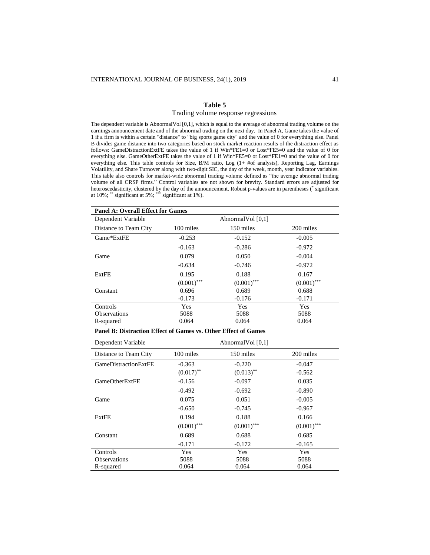## **Table 5**

#### Trading volume response regressions

The dependent variable is AbnormalVol [0,1], which is equal to the average of abnormal trading volume on the earnings announcement date and of the abnormal trading on the next day. In Panel A, Game takes the value of 1 if a firm is within a certain "distance" to "big sports game city" and the value of 0 for everything else. Panel B divides game distance into two categories based on stock market reaction results of the distraction effect as follows: GameDistractionExtFE takes the value of 1 if Win\*FE1=0 or Lost\*FE5=0 and the value of 0 for everything else. GameOtherExtFE takes the value of 1 if Win\*FE5=0 or Lost\*FE1=0 and the value of 0 for everything else. This table controls for Size, B/M ratio, Log (1+ #of analysts), Reporting Lag, Earnings Volatility, and Share Turnover along with two-digit SIC, the day of the week, month, year indicator variables. This table also controls for market-wide abnormal trading volume defined as "the average abnormal trading volume of all CRSP firms." Control variables are not shown for brevity. Standard errors are adjusted for heteroscedasticity, clustered by the day of the announcement. Robust p-values are in parentheses (\* significant at 10%; \*\* significant at 5%; \*\*\* significant at 1%).

| <b>Panel A: Overall Effect for Games</b> |               |               |               |  |  |  |  |  |
|------------------------------------------|---------------|---------------|---------------|--|--|--|--|--|
| Dependent Variable<br>Abnormal Vol [0,1] |               |               |               |  |  |  |  |  |
| Distance to Team City                    | 100 miles     | 150 miles     | 200 miles     |  |  |  |  |  |
| Game*ExtFE                               | $-0.253$      | $-0.152$      | $-0.005$      |  |  |  |  |  |
|                                          | $-0.163$      | $-0.286$      | $-0.972$      |  |  |  |  |  |
| Game                                     | 0.079         | 0.050         | $-0.004$      |  |  |  |  |  |
|                                          | $-0.634$      | $-0.746$      | $-0.972$      |  |  |  |  |  |
| ExtFE                                    | 0.195         | 0.188         | 0.167         |  |  |  |  |  |
|                                          | $(0.001)$ *** | $(0.001)$ *** | $(0.001)$ *** |  |  |  |  |  |
| Constant                                 | 0.696         | 0.689         | 0.688         |  |  |  |  |  |
|                                          | $-0.173$      | $-0.176$      | $-0.171$      |  |  |  |  |  |
| Controls                                 | <b>Yes</b>    | <b>Yes</b>    | <b>Yes</b>    |  |  |  |  |  |
| <b>Observations</b>                      | 5088          | 5088          | 5088          |  |  |  |  |  |
| R-squared                                | 0.064         | 0.064         | 0.064         |  |  |  |  |  |

## **Panel B: Distraction Effect of Games vs. Other Effect of Games**

| Dependent Variable    | Abnormal Vol $[0,1]$ |               |               |  |  |  |  |
|-----------------------|----------------------|---------------|---------------|--|--|--|--|
| Distance to Team City | 100 miles            | 150 miles     | 200 miles     |  |  |  |  |
| GameDistractionExtFE  | $-0.363$             | $-0.220$      | $-0.047$      |  |  |  |  |
|                       | $(0.017)$ **         | $(0.013)$ **  | $-0.562$      |  |  |  |  |
| <b>GameOtherExtFE</b> | $-0.156$             | $-0.097$      | 0.035         |  |  |  |  |
|                       | $-0.492$             | $-0.692$      | $-0.890$      |  |  |  |  |
| Game                  | 0.075                | 0.051         | $-0.005$      |  |  |  |  |
|                       | $-0.650$             | $-0.745$      | $-0.967$      |  |  |  |  |
| ExtFE                 | 0.194                | 0.188         | 0.166         |  |  |  |  |
|                       | $(0.001)$ ***        | $(0.001)$ *** | $(0.001)$ *** |  |  |  |  |
| Constant              | 0.689                | 0.688         | 0.685         |  |  |  |  |
|                       | $-0.171$             | $-0.172$      | $-0.165$      |  |  |  |  |
| Controls              | Yes                  | Yes           | Yes           |  |  |  |  |
| <b>Observations</b>   | 5088                 | 5088          | 5088          |  |  |  |  |
| R-squared             | 0.064                | 0.064         | 0.064         |  |  |  |  |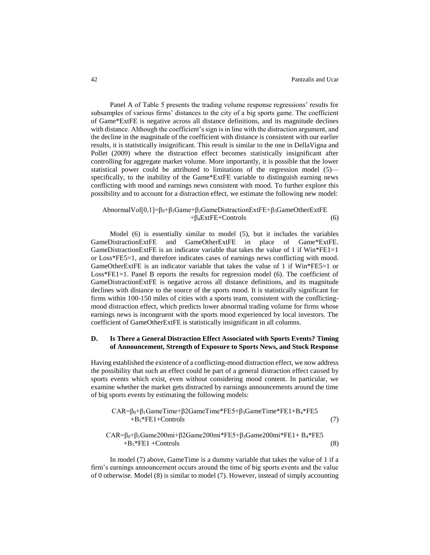Panel A of Table 5 presents the trading volume response regressions' results for subsamples of various firms' distances to the city of a big sports game. The coefficient of Game\*ExtFE is negative across all distance definitions, and its magnitude declines with distance. Although the coefficient's sign is in line with the distraction argument, and the decline in the magnitude of the coefficient with distance is consistent with our earlier results, it is statistically insignificant. This result is similar to the one in DellaVigna and Pollet (2009) where the distraction effect becomes statistically insignificant after controlling for aggregate market volume. More importantly, it is possible that the lower statistical power could be attributed to limitations of the regression model (5) specifically, to the inability of the Game\*ExtFE variable to distinguish earning news conflicting with mood and earnings news consistent with mood. To further explore this possibility and to account for a distraction effect, we estimate the following new model:

# AbnormalVol[0,1]=β0+β1Game+β2GameDistractionExtFE+β3GameOtherExtFE  $+\beta_4 \text{ExtFE} + \text{Controls}$  (6)

Model (6) is essentially similar to model (5), but it includes the variables GameDistractionExtFE and GameOtherExtFE in place of Game\*ExtFE. GameDistractionExtFE is an indicator variable that takes the value of 1 if  $Win*FE1=1$ or Loss\*FE5=1, and therefore indicates cases of earnings news conflicting with mood. GameOtherExtFE is an indicator variable that takes the value of 1 if Win\*FE5=1 or Loss\*FE1=1. Panel B reports the results for regression model (6). The coefficient of GameDistractionExtFE is negative across all distance definitions, and its magnitude declines with distance to the source of the sports mood. It is statistically significant for firms within 100-150 miles of cities with a sports team, consistent with the conflictingmood distraction effect, which predicts lower abnormal trading volume for firms whose earnings news is incongruent with the sports mood experienced by local investors. The coefficient of GameOtherExtFE is statistically insignificant in all columns.

## **D. Is There a General Distraction Effect Associated with Sports Events? Timing of Announcement, Strength of Exposure to Sports News, and Stock Response**

Having established the existence of a conflicting-mood distraction effect, we now address the possibility that such an effect could be part of a general distraction effect caused by sports events which exist, even without considering mood content. In particular, we examine whether the market gets distracted by earnings announcements around the time of big sports events by estimating the following models:

$$
CAR = \beta_0 + \beta_1 GameTime + \beta2 GameTime * FE5 + \beta_3 GameTime * FE1 + B_4 * FE5 + B_5 * FE1 + Contents
$$
\n(7)

$$
CAR = \beta_0 + \beta_1 Game200mi + \beta_2 Game200mi * FE5 + \beta_3 Game200mi * FE1 + B_4 * FE5 + B_5 * FE1 + Contents
$$
\n(8)

In model (7) above, GameTime is a dummy variable that takes the value of 1 if a firm's earnings announcement occurs around the time of big sports events and the value of 0 otherwise. Model (8) is similar to model (7). However, instead of simply accounting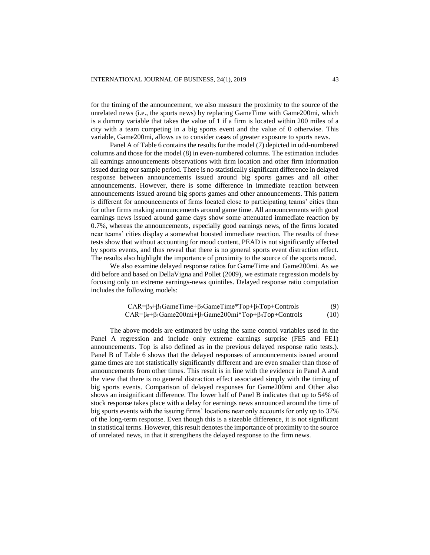for the timing of the announcement, we also measure the proximity to the source of the unrelated news (i.e., the sports news) by replacing GameTime with Game200mi, which is a dummy variable that takes the value of 1 if a firm is located within 200 miles of a city with a team competing in a big sports event and the value of 0 otherwise. This variable, Game200mi, allows us to consider cases of greater exposure to sports news.

Panel A of Table 6 contains the results for the model (7) depicted in odd-numbered columns and those for the model (8) in even-numbered columns. The estimation includes all earnings announcements observations with firm location and other firm information issued during our sample period. There is no statistically significant difference in delayed response between announcements issued around big sports games and all other announcements. However, there is some difference in immediate reaction between announcements issued around big sports games and other announcements. This pattern is different for announcements of firms located close to participating teams' cities than for other firms making announcements around game time. All announcements with good earnings news issued around game days show some attenuated immediate reaction by 0.7%, whereas the announcements, especially good earnings news, of the firms located near teams' cities display a somewhat boosted immediate reaction. The results of these tests show that without accounting for mood content, PEAD is not significantly affected by sports events, and thus reveal that there is no general sports event distraction effect. The results also highlight the importance of proximity to the source of the sports mood.

We also examine delayed response ratios for GameTime and Game200mi. As we did before and based on DellaVigna and Pollet (2009), we estimate regression models by focusing only on extreme earnings-news quintiles. Delayed response ratio computation includes the following models:

$$
CAR = \beta_0 + \beta_1 GameTime + \beta_2 GameTime * Top + \beta_3 Top + Controls
$$
\n
$$
CAR = \beta_0 + \beta_1 Game200mi + \beta_2 Game200mi * Top + \beta_3 Top + Controls
$$
\n(10)

The above models are estimated by using the same control variables used in the Panel A regression and include only extreme earnings surprise (FE5 and FE1) announcements. Top is also defined as in the previous delayed response ratio tests.). Panel B of Table 6 shows that the delayed responses of announcements issued around game times are not statistically significantly different and are even smaller than those of announcements from other times. This result is in line with the evidence in Panel A and the view that there is no general distraction effect associated simply with the timing of big sports events. Comparison of delayed responses for Game200mi and Other also shows an insignificant difference. The lower half of Panel B indicates that up to 54% of stock response takes place with a delay for earnings news announced around the time of big sports events with the issuing firms' locations near only accounts for only up to 37% of the long-term response. Even though this is a sizeable difference, it is not significant in statistical terms. However, this result denotes the importance of proximity to the source of unrelated news, in that it strengthens the delayed response to the firm news.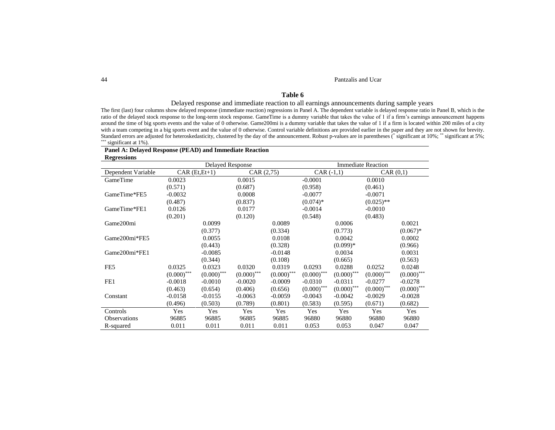#### 44 Pantzalis and Ucar

# **Table 6**

## Delayed response and immediate reaction to all earnings announcements during sample years

The first (last) four columns show delayed response (immediate reaction) regressions in Panel A. The dependent variable is delayed response ratio in Panel B, which is the ratio of the delayed stock response to the long-term stock response. GameTime is a dummy variable that takes the value of 1 if a firm's earnings announcement happens around the time of big sports events and the value of 0 otherwise. Game200mi is a dummy variable that takes the value of 1 if a firm is located within 200 miles of a city with a team competing in a big sports event and the value of 0 otherwise. Control variable definitions are provided earlier in the paper and they are not shown for brevity. Standard errors are adjusted for heteroskedasticity, clustered by the day of the announcement. Robust p-values are in parentheses (\* significant at 10%; \*\* significant at 5%; \*\*\* significant at 1%).

## **Panel A: Delayed Response (PEAD) and Immediate Reaction Regressions**

|                     | <b>Delayed Response</b> |               |               | <b>Immediate Reaction</b> |               |               |               |               |
|---------------------|-------------------------|---------------|---------------|---------------------------|---------------|---------------|---------------|---------------|
| Dependent Variable  | $CAR(Et, Et+1)$         |               | CAR (2,75)    |                           | $CAR (-1,1)$  |               | CAR(0,1)      |               |
| GameTime            | 0.0023                  |               | 0.0015        |                           | $-0.0001$     |               | 0.0010        |               |
|                     | (0.571)                 |               | (0.687)       |                           | (0.958)       |               | (0.461)       |               |
| GameTime*FE5        | $-0.0032$               |               | 0.0008        |                           | $-0.0077$     |               | $-0.0071$     |               |
|                     | (0.487)                 |               | (0.837)       |                           | $(0.074)*$    |               | $(0.025)$ **  |               |
| GameTime*FE1        | 0.0126                  |               | 0.0177        |                           | $-0.0014$     |               | $-0.0010$     |               |
|                     | (0.201)                 |               | (0.120)       |                           | (0.548)       |               | (0.483)       |               |
| Game200mi           |                         | 0.0099        |               | 0.0089                    |               | 0.0006        |               | 0.0021        |
|                     |                         | (0.377)       |               | (0.334)                   |               | (0.773)       |               | $(0.067)*$    |
| Game200mi*FE5       |                         | 0.0055        |               | 0.0108                    |               | 0.0042        |               | 0.0002        |
|                     |                         | (0.443)       |               | (0.328)                   |               | $(0.099)*$    |               | (0.966)       |
| Game200mi*FE1       |                         | $-0.0085$     |               | $-0.0148$                 |               | 0.0034        |               | 0.0031        |
|                     |                         | (0.344)       |               | (0.108)                   |               | (0.665)       |               | (0.563)       |
| FE <sub>5</sub>     | 0.0325                  | 0.0323        | 0.0320        | 0.0319                    | 0.0293        | 0.0288        | 0.0252        | 0.0248        |
|                     | $(0.000)$ ***           | $(0.000)$ *** | $(0.000)$ *** | $(0.000)$ ***             | $(0.000)$ *** | $(0.000)$ *** | $(0.000)$ *** | $(0.000)$ *** |
| FE1                 | $-0.0018$               | $-0.0010$     | $-0.0020$     | $-0.0009$                 | $-0.0310$     | $-0.0311$     | $-0.0277$     | $-0.0278$     |
|                     | (0.463)                 | (0.654)       | (0.406)       | (0.656)                   | $(0.000)$ *** | $(0.000)$ *** | $(0.000)$ *** | $(0.000)$ *** |
| Constant            | $-0.0158$               | $-0.0155$     | $-0.0063$     | $-0.0059$                 | $-0.0043$     | $-0.0042$     | $-0.0029$     | $-0.0028$     |
|                     | (0.496)                 | (0.503)       | (0.789)       | (0.801)                   | (0.583)       | (0.595)       | (0.671)       | (0.682)       |
| Controls            | Yes                     | Yes           | Yes           | Yes                       | Yes           | Yes           | Yes           | Yes           |
| <b>Observations</b> | 96885                   | 96885         | 96885         | 96885                     | 96880         | 96880         | 96880         | 96880         |
| R-squared           | 0.011                   | 0.011         | 0.011         | 0.011                     | 0.053         | 0.053         | 0.047         | 0.047         |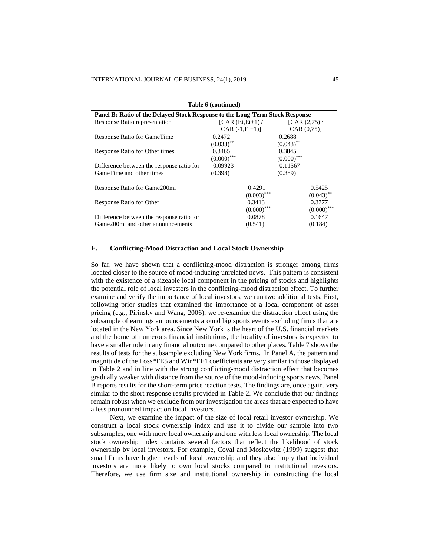| Panel B: Ratio of the Delayed Stock Response to the Long-Term Stock Response |                   |                         |  |  |  |  |  |  |  |
|------------------------------------------------------------------------------|-------------------|-------------------------|--|--|--|--|--|--|--|
| Response Ratio representation                                                | $[CAR(Et, Et+1)$  | [CAR $(2,75)$ /         |  |  |  |  |  |  |  |
|                                                                              | $CAR (-1, Et+1)]$ | CAR (0.75)              |  |  |  |  |  |  |  |
| Response Ratio for GameTime                                                  | 0.2472            | 0.2688                  |  |  |  |  |  |  |  |
|                                                                              | $(0.033)$ **      | $(0.043)$ **            |  |  |  |  |  |  |  |
| Response Ratio for Other times                                               | 0.3465            | 0.3845                  |  |  |  |  |  |  |  |
|                                                                              | $(0.000)$ ***     | $(0.000)$ ***           |  |  |  |  |  |  |  |
| Difference between the response ratio for                                    | $-0.09923$        | $-0.11567$              |  |  |  |  |  |  |  |
| GameTime and other times                                                     | (0.398)           | (0.389)                 |  |  |  |  |  |  |  |
|                                                                              |                   |                         |  |  |  |  |  |  |  |
| Response Ratio for Game200mi                                                 | 0.4291            | 0.5425                  |  |  |  |  |  |  |  |
|                                                                              | $(0.003)$ ***     | $(0.043)$ <sup>**</sup> |  |  |  |  |  |  |  |
| Response Ratio for Other                                                     | 0.3413            | 0.3777                  |  |  |  |  |  |  |  |
|                                                                              | $(0.000)$ ***     | $(0.000)$ ***           |  |  |  |  |  |  |  |
| Difference between the response ratio for                                    | 0.0878            | 0.1647                  |  |  |  |  |  |  |  |
| Game200mi and other announcements                                            | (0.541)           | (0.184)                 |  |  |  |  |  |  |  |

**Table 6 (continued)**

## **E. Conflicting-Mood Distraction and Local Stock Ownership**

So far, we have shown that a conflicting-mood distraction is stronger among firms located closer to the source of mood-inducing unrelated news. This pattern is consistent with the existence of a sizeable local component in the pricing of stocks and highlights the potential role of local investors in the conflicting-mood distraction effect. To further examine and verify the importance of local investors, we run two additional tests. First, following prior studies that examined the importance of a local component of asset pricing (e.g., Pirinsky and Wang, 2006), we re-examine the distraction effect using the subsample of earnings announcements around big sports events excluding firms that are located in the New York area. Since New York is the heart of the U.S. financial markets and the home of numerous financial institutions, the locality of investors is expected to have a smaller role in any financial outcome compared to other places. Table 7 shows the results of tests for the subsample excluding New York firms. In Panel A, the pattern and magnitude of the Loss\*FE5 and Win\*FE1 coefficients are very similar to those displayed in Table 2 and in line with the strong conflicting-mood distraction effect that becomes gradually weaker with distance from the source of the mood-inducing sports news. Panel B reports results for the short-term price reaction tests. The findings are, once again, very similar to the short response results provided in Table 2. We conclude that our findings remain robust when we exclude from our investigation the areas that are expected to have a less pronounced impact on local investors.

Next, we examine the impact of the size of local retail investor ownership. We construct a local stock ownership index and use it to divide our sample into two subsamples, one with more local ownership and one with less local ownership. The local stock ownership index contains several factors that reflect the likelihood of stock ownership by local investors. For example, Coval and Moskowitz (1999) suggest that small firms have higher levels of local ownership and they also imply that individual investors are more likely to own local stocks compared to institutional investors. Therefore, we use firm size and institutional ownership in constructing the local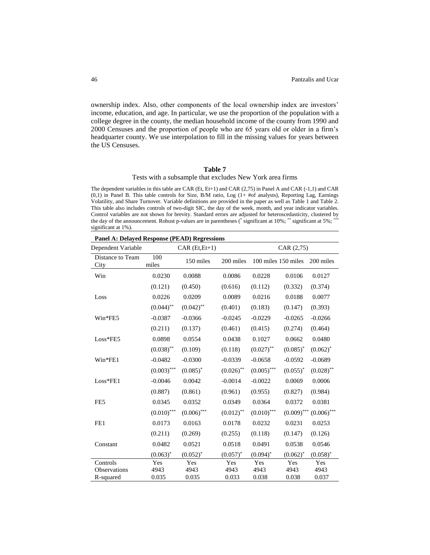ownership index. Also, other components of the local ownership index are investors' income, education, and age. In particular, we use the proportion of the population with a college degree in the county, the median household income of the county from 1990 and 2000 Censuses and the proportion of people who are 65 years old or older in a firm's headquarter county. We use interpolation to fill in the missing values for years between the US Censuses.

## **Table 7**

## Tests with a subsample that excludes New York area firms

The dependent variables in this table are CAR (Et, Et+1) and CAR (2,75) in Panel A and CAR (-1,1) and CAR (0,1) in Panel B. This table controls for Size, B/M ratio, Log (1+ #of analysts), Reporting Lag, Earnings Volatility, and Share Turnover. Variable definitions are provided in the paper as well as Table 1 and Table 2. This table also includes controls of two-digit SIC, the day of the week, month, and year indicator variables. Control variables are not shown for brevity. Standard errors are adjusted for heteroscedasticity, clustered by the day of the announcement. Robust p-values are in parentheses  $($ <sup>\*</sup> significant at 10%;  $*$ <sup>\*\*\*</sup> significant at 5%; \*\*\* significant at 1%).

**Panel A: Delayed Response (PEAD) Regressions** Dependent Variable CAR (Et,Et+1) CAR (2,75) Distance to Team **City**  100 miles 150 miles 200 miles 100 miles 150 miles 200 miles Win 0.0230 0.0088 0.0086 0.0228 0.0106 0.0127 (0.121) (0.450) (0.616) (0.112) (0.332) (0.374) Loss 0.0226 0.0209 0.0089 0.0216 0.0188 0.0077  $(0.044)^{**}$   $(0.042)^{**}$   $(0.401)$   $(0.183)$   $(0.147)$   $(0.393)$ Win\*FE5 -0.0387 -0.0366 -0.0245 -0.0229 -0.0265 -0.0266 (0.211) (0.137) (0.461) (0.415) (0.274) (0.464) Loss\*FE5 0.0898 0.0554 0.0438 0.1027 0.0662 0.0480  $(0.038)$ <sup>\*\*</sup>  $(0.109)$   $(0.118)$   $(0.027)$ <sup>\*\*</sup>  $(0.085)^*$  $(0.062)^*$ Win\*FE1 -0.0482 -0.0300 -0.0339 -0.0658 -0.0592 -0.0689  $(0.003)$ <sup>\*\*\*</sup>  $(0.085)$ <sup>\*</sup>  $(0.026)$ <sup>\*\*</sup>  $(0.005)$ <sup>\*\*\*</sup>  $(0.055)^*$  $(0.028)$ \*\* Loss\*FE1 -0.0046 0.0042 -0.0014 -0.0022 0.0069 0.0006 (0.887) (0.861) (0.961) (0.955) (0.827) (0.984) FE5 0.0345 0.0352 0.0349 0.0364 0.0372 0.0381  $(0.010)$ <sup>\*\*\*</sup>  $(0.006)$ <sup>\*\*\*</sup>  $(0.012)$ <sup>\*\*</sup>  $(0.010)$ <sup>\*\*\*</sup>  $(0.009)$ \*\*\*  $(0.006)$ \*\*\* FE1 0.0173 0.0163 0.0178 0.0232 0.0231 0.0253 (0.211) (0.269) (0.255) (0.118) (0.147) (0.126) Constant 0.0482 0.0521 0.0518 0.0491 0.0538 0.0546  $(0.063)^*$  $(0.052)^{*}$  $(0.057)^*$  $(0.094)^*$  $(0.062)^*$  $(0.058)^*$ Controls Yes Yes Yes Yes Yes Yes Observations 4943 4943 4943 4943 4943 4943 R-squared 0.035 0.035 0.033 0.038 0.038 0.037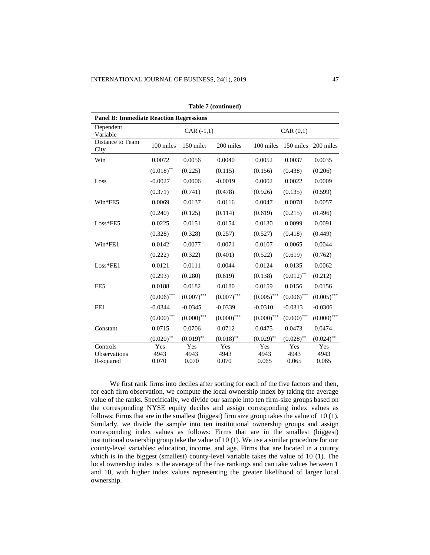| <b>Panel B: Immediate Reaction Regressions</b> |                        |               |               |               |               |               |  |  |  |  |  |
|------------------------------------------------|------------------------|---------------|---------------|---------------|---------------|---------------|--|--|--|--|--|
| Dependent<br>Variable                          |                        | $CAR (-1,1)$  |               | CAR(0,1)      |               |               |  |  |  |  |  |
| Distance to Team<br>City                       | 100 miles<br>150 miles |               | 200 miles     | 100 miles     | 150 miles     | 200 miles     |  |  |  |  |  |
| Win                                            | 0.0072                 | 0.0056        | 0.0040        | 0.0052        | 0.0037        | 0.0035        |  |  |  |  |  |
|                                                | $(0.018)$ **           | (0.225)       | (0.115)       | (0.156)       | (0.438)       | (0.206)       |  |  |  |  |  |
| Loss                                           | $-0.0027$              | 0.0006        | $-0.0019$     | 0.0002        | 0.0022        | 0.0009        |  |  |  |  |  |
|                                                | (0.371)                | (0.741)       | (0.478)       | (0.926)       | (0.135)       | (0.599)       |  |  |  |  |  |
| Win*FE5                                        | 0.0069                 | 0.0137        | 0.0116        | 0.0047        | 0.0078        | 0.0057        |  |  |  |  |  |
|                                                | (0.240)                | (0.125)       | (0.114)       | (0.619)       | (0.215)       | (0.496)       |  |  |  |  |  |
| Loss*FE5                                       | 0.0225                 | 0.0151        | 0.0154        | 0.0130        | 0.0099        | 0.0091        |  |  |  |  |  |
|                                                | (0.328)                | (0.328)       | (0.257)       | (0.527)       | (0.418)       | (0.449)       |  |  |  |  |  |
| Win*FE1                                        | 0.0142                 | 0.0077        | 0.0071        | 0.0107        | 0.0065        | 0.0044        |  |  |  |  |  |
|                                                | (0.222)                | (0.322)       | (0.401)       | (0.522)       | (0.619)       | (0.762)       |  |  |  |  |  |
| Loss*FE1                                       | 0.0121                 | 0.0111        | 0.0044        | 0.0124        | 0.0135        | 0.0062        |  |  |  |  |  |
|                                                | (0.293)                | (0.280)       | (0.619)       | (0.138)       | $(0.012)$ **  | (0.212)       |  |  |  |  |  |
| FE5                                            | 0.0188                 | 0.0182        | 0.0180        | 0.0159        | 0.0156        | 0.0156        |  |  |  |  |  |
|                                                | $(0.006)$ ***          | $(0.007)$ *** | $(0.007)$ *** | $(0.005)$ *** | $(0.006)$ *** | $(0.005)$ *** |  |  |  |  |  |
| FE1                                            | $-0.0344$              | $-0.0345$     | $-0.0339$     | $-0.0310$     | $-0.0313$     | $-0.0306$     |  |  |  |  |  |
|                                                | $(0.000)$ ***          | $(0.000)$ *** | $(0.000)$ *** | $(0.000)$ *** | $(0.000)$ *** | $(0.000)$ *** |  |  |  |  |  |
| Constant                                       | 0.0715                 | 0.0706        | 0.0712        | 0.0475        | 0.0473        | 0.0474        |  |  |  |  |  |
|                                                | $(0.020)$ **           | $(0.019)$ **  | $(0.018)$ **  | $(0.029)$ **  | $(0.028)$ **  | $(0.024)$ **  |  |  |  |  |  |
| Controls                                       | Yes                    | Yes           | Yes           | Yes           | Yes           | Yes           |  |  |  |  |  |
| Observations                                   | 4943                   | 4943          | 4943          | 4943          | 4943          | 4943          |  |  |  |  |  |
| R-squared                                      | 0.070                  | 0.070         | 0.070         | 0.065         | 0.065         | 0.065         |  |  |  |  |  |

**Table 7 (continued)**

We first rank firms into deciles after sorting for each of the five factors and then, for each firm observation, we compute the local ownership index by taking the average value of the ranks. Specifically, we divide our sample into ten firm-size groups based on the corresponding NYSE equity deciles and assign corresponding index values as follows: Firms that are in the smallest (biggest) firm size group takes the value of 10 (1). Similarly, we divide the sample into ten institutional ownership groups and assign corresponding index values as follows: Firms that are in the smallest (biggest) institutional ownership group take the value of 10 (1). We use a similar procedure for our county-level variables: education, income, and age. Firms that are located in a county which is in the biggest (smallest) county-level variable takes the value of 10 (1). The local ownership index is the average of the five rankings and can take values between 1 and 10, with higher index values representing the greater likelihood of larger local ownership.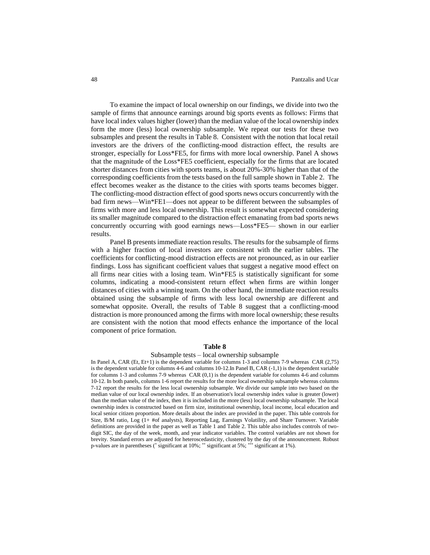To examine the impact of local ownership on our findings, we divide into two the sample of firms that announce earnings around big sports events as follows: Firms that have local index values higher (lower) than the median value of the local ownership index form the more (less) local ownership subsample. We repeat our tests for these two subsamples and present the results in Table 8. Consistent with the notion that local retail investors are the drivers of the conflicting-mood distraction effect, the results are stronger, especially for Loss\*FE5, for firms with more local ownership. Panel A shows that the magnitude of the Loss\*FE5 coefficient, especially for the firms that are located shorter distances from cities with sports teams, is about 20%-30% higher than that of the corresponding coefficients from the tests based on the full sample shown in Table 2. The effect becomes weaker as the distance to the cities with sports teams becomes bigger. The conflicting-mood distraction effect of good sports news occurs concurrently with the bad firm news—Win\*FE1—does not appear to be different between the subsamples of firms with more and less local ownership. This result is somewhat expected considering its smaller magnitude compared to the distraction effect emanating from bad sports news concurrently occurring with good earnings news—Loss\*FE5— shown in our earlier results.

Panel B presents immediate reaction results. The results for the subsample of firms with a higher fraction of local investors are consistent with the earlier tables. The coefficients for conflicting-mood distraction effects are not pronounced, as in our earlier findings. Loss has significant coefficient values that suggest a negative mood effect on all firms near cities with a losing team. Win\*FE5 is statistically significant for some columns, indicating a mood-consistent return effect when firms are within longer distances of cities with a winning team. On the other hand, the immediate reaction results obtained using the subsample of firms with less local ownership are different and somewhat opposite. Overall, the results of Table 8 suggest that a conflicting-mood distraction is more pronounced among the firms with more local ownership; these results are consistent with the notion that mood effects enhance the importance of the local component of price formation.

## **Table 8**

## Subsample tests – local ownership subsample

In Panel A, CAR (Et, Et+1) is the dependent variable for columns 1-3 and columns 7-9 whereas CAR (2,75) is the dependent variable for columns 4-6 and columns 10-12.In Panel B, CAR (-1,1) is the dependent variable for columns 1-3 and columns 7-9 whereas CAR (0,1) is the dependent variable for columns 4-6 and columns 10-12. In both panels, columns 1-6 report the results for the more local ownership subsample whereas columns 7-12 report the results for the less local ownership subsample. We divide our sample into two based on the median value of our local ownership index. If an observation's local ownership index value is greater (lower) than the median value of the index, then it is included in the more (less) local ownership subsample. The local ownership index is constructed based on firm size, institutional ownership, local income, local education and local senior citizen proportion. More details about the index are provided in the paper. This table controls for Size, B/M ratio, Log (1+ #of analysts), Reporting Lag, Earnings Volatility, and Share Turnover. Variable definitions are provided in the paper as well as Table 1 and Table 2. This table also includes controls of twodigit SIC, the day of the week, month, and year indicator variables. The control variables are not shown for brevity. Standard errors are adjusted for heteroscedasticity, clustered by the day of the announcement. Robust p-values are in parentheses (\* significant at 10%; \*\* significant at 5%; \*\*\* significant at 1%).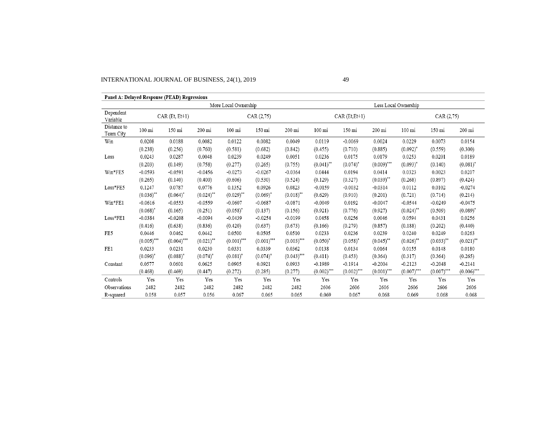# INTERNATIONAL JOURNAL OF BUSINESS, 24(1), 2019 49

| Panel A: Delayed Response (PEAD) Regressions |                      |               |              |                  |               |               |                  |                      |               |                  |               |               |  |
|----------------------------------------------|----------------------|---------------|--------------|------------------|---------------|---------------|------------------|----------------------|---------------|------------------|---------------|---------------|--|
|                                              | More Local Ownership |               |              |                  |               |               |                  | Less Local Ownership |               |                  |               |               |  |
| Dependent<br>Variable                        | $CAR(Et, Et+1)$      |               |              | CAR(2,75)        |               |               | $CAR(Et, Et+1)$  |                      |               | CAR(2,75)        |               |               |  |
| Distance to<br>Team City                     | 100 mi               | 150 mi        | 200 mi       | $100 \text{ mi}$ | 150 mi        | 200 mi        | $100 \text{ mi}$ | 150 mi               | 200 mi        | $100 \text{ mi}$ | 150 mi        | 200 mi        |  |
| Win                                          | 0.0208               | 0.0188        | 0.0082       | 0.0122           | 0.0082        | 0.0049        | 0.0119           | $-0.0069$            | 0.0024        | 0.0229           | 0.0073        | 0.0154        |  |
|                                              | (0.238)              | (0.256)       | (0.760)      | (0.581)          | (0.682)       | (0.842)       | (0.455)          | (0.710)              | (0.885)       | $(0.092)^*$      | (0.559)       | (0.300)       |  |
| Loss                                         | 0.0243               | 0.0287        | 0.0048       | 0.0239           | 0.0249        | 0.0051        | 0.0236           | 0.0175               | 0.0179        | 0.0253           | 0.0201        | 0.0189        |  |
|                                              | (0.203)              | (0.149)       | (0.758)      | (0.277)          | (0.265)       | (0.755)       | $(0.041)$ **     | $(0.074)^*$          | $(0.009)$ *** | $(0.093)^*$      | (0.140)       | $(0.081)^*$   |  |
| Win*FE5                                      | $-0.0593$            | $-0.0591$     | $-0.0456$    | $-0.0273$        | $-0.0267$     | $-0.0364$     | 0.0444           | 0.0194               | 0.0414        | 0.0323           | 0.0023        | 0.0207        |  |
|                                              | (0.265)              | (0.140)       | (0.400)      | (0.606)          | (0.530)       | (0.524)       | (0.129)          | (0.327)              | $(0.039)$ **  | (0.268)          | (0.897)       | (0.424)       |  |
| Loss*FE5                                     | 0.1247               | 0.0787        | 0.0776       | 0.1352           | 0.0926        | 0.0823        | $-0.0159$        | $-0.0032$            | $-0.0314$     | 0.0112           | 0.0102        | $-0.0274$     |  |
|                                              | $(0.036)$ **         | $(0.064)^*$   | $(0.024)$ ** | $(0.029)$ **     | $(0.069)^*$   | $(0.018)$ **  | (0.629)          | (0.910)              | (0.201)       | (0.721)          | (0.714)       | (0.214)       |  |
| Win*FE1                                      | $-0.0616$            | $-0.0553$     | $-0.0559$    | $-0.0607$        | $-0.0687$     | $-0.0871$     | $-0.0049$        | 0.0192               | $-0.0047$     | $-0.0544$        | $-0.0249$     | $-0.0475$     |  |
|                                              | $(0.068)^*$          | (0.165)       | (0.251)      | $(0.058)^*$      | (0.137)       | (0.156)       | (0.921)          | (0.776)              | (0.927)       | $(0.024)$ **     | (0.509)       | $(0.089)^*$   |  |
| Loss*FE1                                     | $-0.0384$            | $-0.0208$     | $-0.0094$    | $-0.0439$        | $-0.0254$     | $-0.0199$     | 0.0458           | 0.0256               | 0.0046        | 0.0594           | 0.0431        | 0.0256        |  |
|                                              | (0.416)              | (0.638)       | (0.836)      | (0.420)          | (0.637)       | (0.673)       | (0.166)          | (0.279)              | (0.857)       | (0.188)          | (0.202)       | (0.440)       |  |
| FE5                                          | 0.0446               | 0.0462        | 0.0442       | 0.0500           | 0.0505        | 0.0510        | 0.0233           | 0.0236               | 0.0239        | 0.0240           | 0.0249        | 0.0263        |  |
|                                              | $(0.005)$ ***        | $(0.004)$ *** | $(0.021)$ ** | $(0.001)$ ***    | $(0.001)$ *** | $(0.003)$ *** | $(0.050)^*$      | $(0.058)^*$          | $(0.045)$ **  | $(0.026)$ **     | $(0.033)$ **  | $(0.021)$ **  |  |
| FE1                                          | 0.0233               | 0.0231        | 0.0230       | 0.0331           | 0.0339        | 0.0362        | 0.0138           | 0.0134               | 0.0164        | 0.0155           | 0.0148        | 0.0180        |  |
|                                              | $(0.096)^*$          | $(0.088)^*$   | $(0.074)^*$  | $(0.081)^*$      | $(0.074)^*$   | $(0.043)$ *** | (0.411)          | (0.453)              | (0.364)       | (0.317)          | (0.364)       | (0.265)       |  |
| Constant                                     | 0.0577               | 0.0601        | 0.0625       | 0.0905           | 0.0921        | 0.0933        | $-0.1989$        | $-0.1914$            | $-0.2004$     | $-0.2123$        | $-0.2048$     | $-0.2141$     |  |
|                                              | (0.468)              | (0.469)       | (0.447)      | (0.272)          | (0.285)       | (0.277)       | $(0.002)$ ***    | $(0.002)$ ***        | $(0.001)$ *** | $(0.007)$ ***    | $(0.007)$ *** | $(0.006)$ *** |  |
| Controls                                     | Yes                  | Yes           | Yes          | Yes              | Yes           | Yes           | Yes              | Yes                  | Yes           | Yes              | Yes           | Yes           |  |
| Observations                                 | 2482                 | 2482          | 2482         | 2482             | 2482          | 2482          | 2606             | 2606                 | 2606          | 2606             | 2606          | 2606          |  |
| R-squared                                    | 0.058                | 0.057         | 0.056        | 0.067            | 0.065         | 0.065         | 0.069            | 0.067                | 0.068         | 0.069            | 0.068         | 0.068         |  |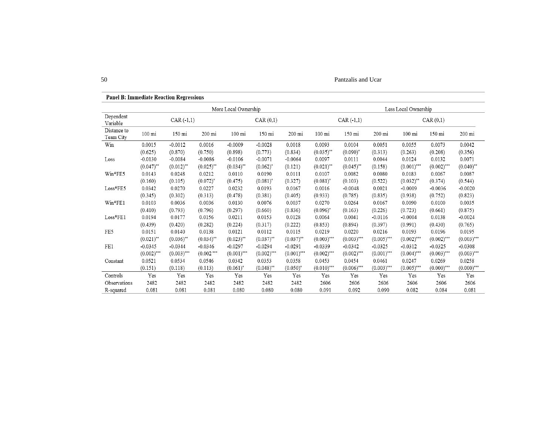50 Pantzalis and Ucar

|                          | More Local Ownership |                         |              |                  |               |               |               | Less Local Ownership    |               |               |               |               |  |
|--------------------------|----------------------|-------------------------|--------------|------------------|---------------|---------------|---------------|-------------------------|---------------|---------------|---------------|---------------|--|
| Dependent<br>Variable    | $CAR(-1,1)$          |                         |              | CAR(0,1)         |               |               | $CAR(-1,1)$   |                         |               | CAR(0,1)      |               |               |  |
| Distance to<br>Team City | 100 mi               | 150 mi                  | 200 mi       | $100 \text{ mi}$ | 150 mi        | 200 mi        | 100 mi        | 150 mi                  | 200 mi        | 100 mi        | 150 mi        | 200 mi        |  |
| Win                      | 0.0015               | $-0.0012$               | 0.0016       | $-0.0009$        | $-0.0028$     | 0.0018        | 0.0093        | 0.0104                  | 0.0051        | 0.0055        | 0.0073        | 0.0042        |  |
|                          | (0.625)              | (0.870)                 | (0.750)      | (0.898)          | (0.773)       | (0.834)       | $(0.035)$ **  | $(0.090)^*$             | (0.313)       | (0.263)       | (0.208)       | (0.356)       |  |
| Loss                     | $-0.0130$            | $-0.0084$               | $-0.0086$    | $-0.0106$        | $-0.0071$     | $-0.0064$     | 0.0097        | 0.0111                  | 0.0044        | 0.0124        | 0.0132        | 0.0071        |  |
|                          | $(0.047)$ **         | $(0.012)$ <sup>**</sup> | $(0.025)$ ** | $(0.034)$ **     | $(0.062)^*$   | (0.121)       | $(0.021)$ **  | $(0.045)$ <sup>**</sup> | (0.158)       | $(0.001)$ *** | $(0.002)$ *** | $(0.040)$ **  |  |
| Win*FE5                  | 0.0143               | 0.0248                  | 0.0212       | 0.0110           | 0.0190        | 0.0111        | 0.0107        | 0.0082                  | 0.0080        | 0.0183        | 0.0067        | 0.0087        |  |
|                          | (0.160)              | (0.105)                 | $(0.072)^*$  | (0.475)          | $(0.081)^*$   | (0.327)       | $(0.081)^*$   | (0.103)                 | (0.522)       | $(0.032)$ **  | (0.374)       | (0.544)       |  |
| $\textsc{Loss*FE5}$      | 0.0342               | 0.0270                  | 0.0227       | 0.0232           | 0.0193        | 0.0167        | 0.0016        | $-0.0048$               | 0.0021        | $-0.0009$     | $-0.0036$     | $-0.0020$     |  |
|                          | (0.345)              | (0.302)                 | (0.313)      | (0.478)          | (0.381)       | (0.405)       | (0.933)       | (0.785)                 | (0.835)       | (0.938)       | (0.752)       | (0.823)       |  |
| Win*FE1                  | 0.0103               | 0.0036                  | 0.0036       | 0.0130           | 0.0076        | 0.0037        | 0.0270        | 0.0264                  | 0.0167        | 0.0090        | 0.0100        | 0.0035        |  |
|                          | (0.410)              | (0.793)                 | (0.796)      | (0.297)          | (0.660)       | (0.836)       | $(0.096)^*$   | (0.163)                 | (0.226)       | (0.723)       | (0.661)       | (0.875)       |  |
| $Loss*FE1$               | 0.0194               | 0.0177                  | 0.0156       | 0.0211           | 0.0153        | 0.0128        | 0.0064        | 0.0041                  | $-0.0116$     | $-0.0004$     | 0.0138        | $-0.0024$     |  |
|                          | (0.439)              | (0.420)                 | (0.282)      | (0.224)          | (0.317)       | (0.222)       | (0.853)       | (0.894)                 | (0.397)       | (0.991)       | (0.430)       | (0.765)       |  |
| FE5                      | 0.0151               | 0.0140                  | 0.0138       | 0.0121           | 0.0112        | 0.0115        | 0.0219        | 0.0220                  | 0.0216        | 0.0193        | 0.0196        | 0.0195        |  |
|                          | $(0.021)$ **         | $(0.036)$ **            | $(0.034)$ ** | $(0.023)$ **     | $(0.037)$ **  | $(0.037)$ **  | $(0.003)$ *** | $(0.003)$ ***           | $(0.005)$ *** | $(0.002)$ *** | $(0.002)$ *** | $(0.003)$ *** |  |
| FE1                      | $-0.0345$            | $-0.0344$               | $-0.0346$    | $-0.0297$        | $-0.0294$     | $-0.0291$     | $-0.0339$     | $-0.0342$               | $-0.0325$     | $-0.0312$     | $-0.0325$     | $-0.0308$     |  |
|                          | $(0.002)$ ***        | $(0.003)$ ***           | $(0.002***$  | $(0.001)$ ***    | $(0.002)$ *** | $(0.001)$ *** | $(0.002)$ *** | $(0.002)$ ***           | $(0.001)$ *** | $(0.004)$ *** | $(0.003)$ *** | $(0.003)$ *** |  |
| Constant                 | 0.0521               | 0.0534                  | 0.0546       | 0.0342           | 0.0353        | 0.0358        | 0.0453        | 0.0454                  | 0.0461        | 0.0247        | 0.0269        | 0.0258        |  |
|                          | (0.151)              | (0.118)                 | (0.113)      | $(0.061)^*$      | $(0.048)$ **  | $(0.050)^*$   | $(0.010)$ *** | $(0.006)$ ***           | $(0.003)$ *** | $(0.005)$ *** | $(0.000)$ *** | $(0.000)$ *** |  |
| Controls                 | Yes                  | Yes                     | Yes          | Yes              | Yes           | Yes           | Yes           | Yes                     | Yes           | Yes           | Yes           | Yes           |  |
| Observations             | 2482                 | 2482                    | 2482         | 2482             | 2482          | 2482          | 2606          | 2606                    | 2606          | 2606          | 2606          | 2606          |  |
| R-squared                | 0.081                | 0.081                   | 0.081        | 0.080            | 0.080         | 0.080         | 0.091         | 0.092                   | 0.090         | 0.082         | 0.084         | 0.081         |  |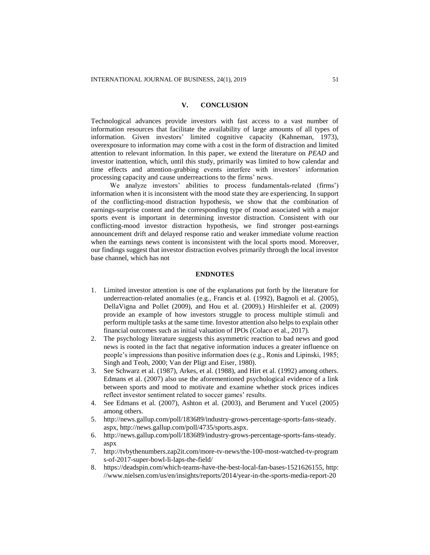## **V. CONCLUSION**

Technological advances provide investors with fast access to a vast number of information resources that facilitate the availability of large amounts of all types of information. Given investors' limited cognitive capacity (Kahneman, 1973), overexposure to information may come with a cost in the form of distraction and limited attention to relevant information. In this paper, we extend the literature on *PEAD* and investor inattention, which, until this study, primarily was limited to how calendar and time effects and attention-grabbing events interfere with investors' information processing capacity and cause underreactions to the firms' news.

We analyze investors' abilities to process fundamentals-related (firms') information when it is inconsistent with the mood state they are experiencing. In support of the conflicting-mood distraction hypothesis, we show that the combination of earnings-surprise content and the corresponding type of mood associated with a major sports event is important in determining investor distraction. Consistent with our conflicting-mood investor distraction hypothesis, we find stronger post-earnings announcement drift and delayed response ratio and weaker immediate volume reaction when the earnings news content is inconsistent with the local sports mood. Moreover, our findings suggest that investor distraction evolves primarily through the local investor base channel, which has not

# **ENDNOTES**

- 1. Limited investor attention is one of the explanations put forth by the literature for underreaction-related anomalies (e.g., Francis et al. (1992), Bagnoli et al. (2005), DellaVigna and Pollet (2009), and Hou et al. (2009).) Hirshleifer et al. (2009) provide an example of how investors struggle to process multiple stimuli and perform multiple tasks at the same time. Investor attention also helps to explain other financial outcomes such as initial valuation of IPOs (Colaco et al., 2017).
- 2. The psychology literature suggests this asymmetric reaction to bad news and good news is rooted in the fact that negative information induces a greater influence on people's impressions than positive information does (e.g., Ronis and Lipinski, 1985; Singh and Teoh, 2000; Van der Pligt and Eiser, 1980).
- 3. See Schwarz et al. (1987), Arkes, et al. (1988), and Hirt et al. (1992) among others. Edmans et al. (2007) also use the aforementioned psychological evidence of a link between sports and mood to motivate and examine whether stock prices indices reflect investor sentiment related to soccer games' results.
- 4. See Edmans et al*.* (2007), Ashton et al. (2003), and Berument and Yucel (2005) among others.
- 5. [http://news.gallup.com/poll/183689/industry-grows-percentage-sports-fans-steady.](http://news.gallup.com/poll/183689/industry-grows-percentage-sports-fans-steady.aspx) [aspx,](http://news.gallup.com/poll/183689/industry-grows-percentage-sports-fans-steady.aspx) [http://news.gallup.com/poll/4735/sports.aspx.](http://news.gallup.com/poll/4735/sports.aspx)
- 6. http://news.gallup.com/poll/183689/industry-grows-percentage-sports-fans-steady. aspx
- 7. http://tvbythenumbers.zap2it.com/more-tv-news/the-100-most-watched-tv-program s-of-2017-super-bowl-li-laps-the-field/
- 8. [https://deadspin.com/which-teams-have-the-best-local-fan-bases-1521626155,](https://deadspin.com/which-teams-have-the-best-local-fan-bases-1521626155) [http:](http://www.nielsen.com/us/en/insights/reports/2014/year-in-the-sports-media-report-2013.html?afflt=ntrt15340001&afflt_uid=UN9ekCv9Go8.ffB0pDfRgaexo8EsW4-raA..&afflt_uid_2=AFFLT_ID_2) [//www.nielsen.com/us/en/insights/reports/2014/year-in-the-sports-media-report-20](http://www.nielsen.com/us/en/insights/reports/2014/year-in-the-sports-media-report-2013.html?afflt=ntrt15340001&afflt_uid=UN9ekCv9Go8.ffB0pDfRgaexo8EsW4-raA..&afflt_uid_2=AFFLT_ID_2)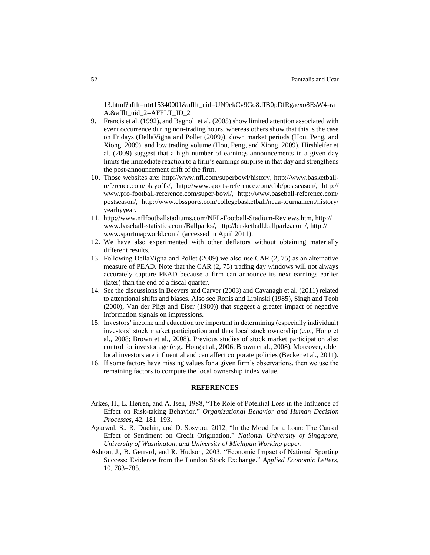[13.html?afflt=ntrt15340001&afflt\\_uid=UN9ekCv9Go8.ffB0pDfRgaexo8EsW4-ra](http://www.nielsen.com/us/en/insights/reports/2014/year-in-the-sports-media-report-2013.html?afflt=ntrt15340001&afflt_uid=UN9ekCv9Go8.ffB0pDfRgaexo8EsW4-raA..&afflt_uid_2=AFFLT_ID_2) [A.&afflt\\_uid\\_2=AFFLT\\_ID\\_2](http://www.nielsen.com/us/en/insights/reports/2014/year-in-the-sports-media-report-2013.html?afflt=ntrt15340001&afflt_uid=UN9ekCv9Go8.ffB0pDfRgaexo8EsW4-raA..&afflt_uid_2=AFFLT_ID_2)

- 9. Francis et al. (1992), and Bagnoli et al. (2005) show limited attention associated with event occurrence during non-trading hours, whereas others show that this is the case on Fridays (DellaVigna and Pollet (2009)), down market periods (Hou, Peng, and Xiong, 2009), and low trading volume (Hou, Peng, and Xiong, 2009). Hirshleifer et al. (2009) suggest that a high number of earnings announcements in a given day limits the immediate reaction to a firm's earnings surprise in that day and strengthens the post-announcement drift of the firm.
- 10. Those websites are: http://www.nfl.com/superbowl/history, http://www.basketballreference.com/playoffs/, http://www.sports-reference.com/cbb/postseason/, http:// www.pro-football-reference.com/super-bowl/, [http://www.baseball-reference.com/](http://www.baseball-reference.com/postseason/) [postseason/,](http://www.baseball-reference.com/postseason/) [http://www.cbssports.com/collegebasketball/ncaa-tournament/history/](http://www.cbssports.com/collegebasketball/ncaa-tournament/history/%20yearbyyear)  [yearbyyear.](http://www.cbssports.com/collegebasketball/ncaa-tournament/history/%20yearbyyear)
- 11. [http://www.nflfootballstadiums.com/NFL-Football-Stadium-Reviews.htm,](http://www.nflfootballstadiums.com/NFL-Football-Stadium-Reviews.htm) http:// www.baseball-statistics.com/Ballparks/, [http://basketball.ballparks.com/,](http://basketball.ballparks.com/) [http://](http://www.sportmapworld.com/) [www.sportmapworld.com/](http://www.sportmapworld.com/) (accessed in April 2011).
- 12. We have also experimented with other deflators without obtaining materially different results.
- 13. Following DellaVigna and Pollet (2009) we also use CAR (2, 75) as an alternative measure of PEAD. Note that the CAR (2, 75) trading day windows will not always accurately capture PEAD because a firm can announce its next earnings earlier (later) than the end of a fiscal quarter.
- 14. See the discussions in Beevers and Carver (2003) and Cavanagh et al. (2011) related to attentional shifts and biases. Also see Ronis and Lipinski (1985), Singh and Teoh (2000), Van der Pligt and Eiser (1980)) that suggest a greater impact of negative information signals on impressions.
- 15. Investors' income and education are important in determining (especially individual) investors' stock market participation and thus local stock ownership (e.g., Hong et al., 2008; Brown et al., 2008). Previous studies of stock market participation also control for investor age (e.g., Hong et al., 2006; Brown et al., 2008). Moreover, older local investors are influential and can affect corporate policies (Becker et al., 2011).
- 16. If some factors have missing values for a given firm's observations, then we use the remaining factors to compute the local ownership index value.

## **REFERENCES**

- Arkes, H., L. Herren, and A. Isen, 1988, "The Role of Potential Loss in the Influence of Effect on Risk-taking Behavior." *Organizational Behavior and Human Decision Processes,* 42, 181–193.
- Agarwal, S., R. Duchin, and D. Sosyura, 2012, "In the Mood for a Loan: The Causal Effect of Sentiment on Credit Origination." *National University of Singapore, University of Washington, and University of Michigan Working paper.*
- Ashton, J., B. Gerrard, and R. Hudson, 2003, "Economic Impact of National Sporting Success: Evidence from the London Stock Exchange." *Applied Economic Letters*, 10, 783–785.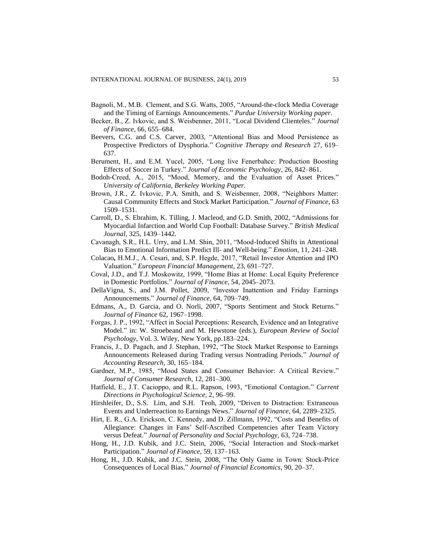- Bagnoli, M., M.B. Clement, and S.G. Watts, 2005, "Around-the-clock Media Coverage and the Timing of Earnings Announcements." *Purdue University Working paper*.
- Becker, B., Z. Ivkovic, and S. Weisbenner, 2011, ["Local Dividend Clienteles.](http://www.nber.org/papers/w15175)" *[Journal](http://www.afajof.org/journal/browse.asp)  [of Finance](http://www.afajof.org/journal/browse.asp)*, 66, 655–684.
- Beevers, C.G. and C.S. Carver, 2003, "Attentional Bias and Mood Persistence as Prospective Predictors of Dysphoria." *Cognitive Therapy and Research* 27, 619– 637.
- Berument, H., and E.M. Yucel, 2005, "Long live Fenerbahce: Production Boosting Effects of Soccer in Turkey." *Journal of Economic Psychology*, 26, 842–861.
- Bodoh-Creed, A., 2015, "Mood, Memory, and the Evaluation of Asset Prices." *University of California, Berkeley Working Paper.*
- Brown, J.R., Z. Ivkovic, P.A. Smith, and S. Weisbenner, 2008, "Neighbors Matter: Causal Community Effects and Stock Market Participation." *Journal of Finance*, 63 1509–1531.
- Carroll, D., S. Ebrahim, K. Tilling, J. Macleod, and G.D. Smith, 2002, "Admissions for Myocardial Infarction and World Cup Football: Database Survey." *British Medical Journal*, 325, 1439–1442.
- Cavanagh, S.R., H.L. Urry, and L.M. Shin, 2011, "Mood-Induced Shifts in Attentional Bias to Emotional Information Predict Ill- and Well-being." *Emotion*, 11, 241–248.
- Colacao*,* H.M.J., A. Cesari, and, S.P. Hegde, 2017, "Retail Investor Attention and IPO Valuation." *European Financial Management*, 23, 691–727.
- Coval, J.D., and T.J. Moskowitz, 1999, "Home Bias at Home: Local Equity Preference in Domestic Portfolios." *Journal of Finance*, 54, 2045–2073.
- DellaVigna, S., and J.M. Pollet, 2009, "Investor Inattention and Friday Earnings Announcements." *Journal of Finance*, 64, 709–749.
- Edmans, A., D. Garcia, and O. Norli, 2007, "Sports Sentiment and Stock Returns." *Journal of Finance* 62, 1967–1998.
- Forgas, J. P., 1992, "Affect in Social Perceptions: Research, Evidence and an Integrative Model." in: W. Stroebeand and M. Hewstone (eds.), *European Review of Social Psychology*, Vol. 3. Wiley, New York, pp.183–224.
- Francis, J., D. Pagach, and J. Stephan, 1992, "The Stock Market Response to Earnings Announcements Released during Trading versus Nontrading Periods." *Journal of Accounting Research*, 30, 165–184.
- Gardner, M.P., 1985, "Mood States and Consumer Behavior: A Critical Review." *Journal of Consumer Research*, 12, 281–300.
- Hatfield, E., J.T. Cacioppo, and R.L. Rapson, 1993, "Emotional Contagion." *Current Directions in Psychological Science*, 2, 96–99.
- Hirshleifer, D., S.S. Lim, and S.H. Teoh, 2009, "Driven to Distraction: Extraneous Events and Underreaction to Earnings News." *Journal of Finance*, 64, 2289–2325.
- Hirt, E. R., G.A. Erickson, C. Kennedy, and D. Zillmann, 1992, "Costs and Benefits of Allegiance: Changes in Fans' Self-Ascribed Competencies after Team Victory versus Defeat." *Journal of Personality and Social Psychology*, 63, 724–738.
- Hong, H., J.D. Kubik, and J.C. Stein, 2006, "Social Interaction and Stock-market Participation." *Journal of Finance*, 59, 137–163.
- Hong, H., J.D. Kubik, and J.C. Stein, 2008, "The Only Game in Town: Stock-Price Consequences of Local Bias." *Journal of Financial Economics*, 90, 20–37.